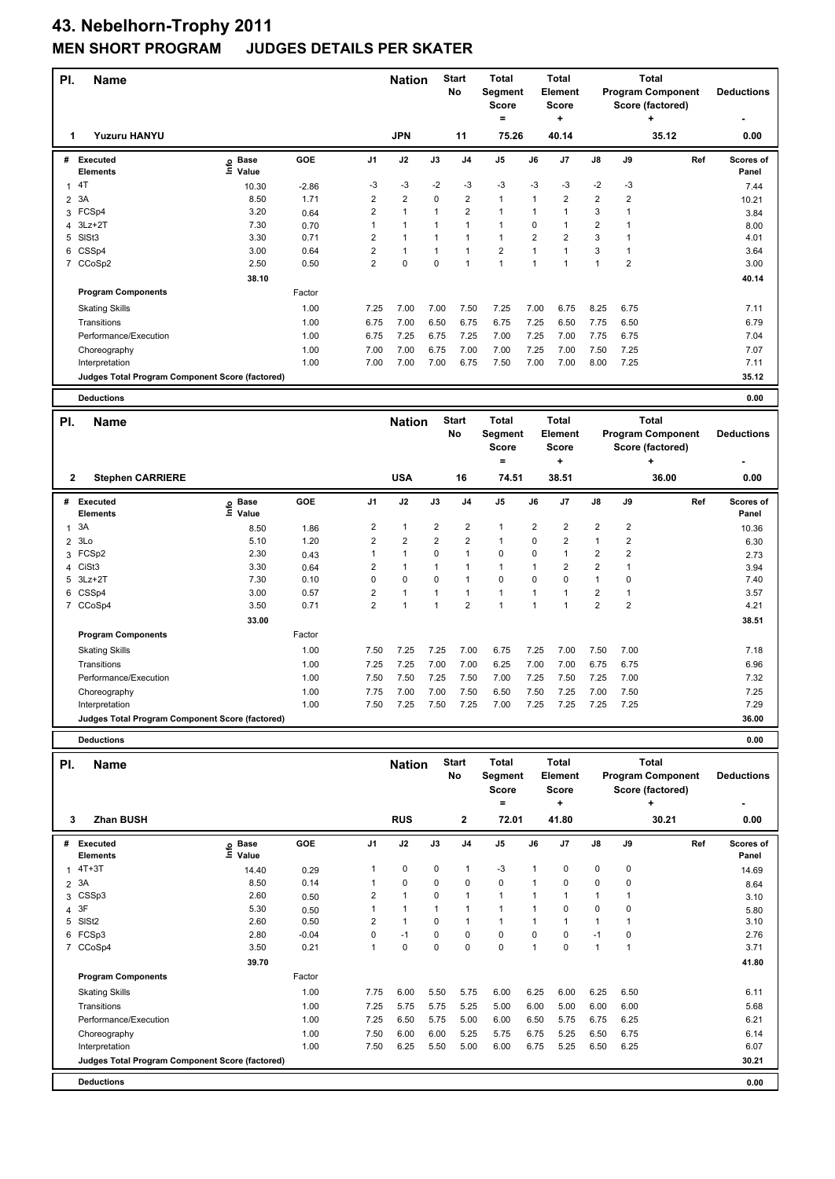| PI.            | <b>Name</b>                                            |                    |              |                         | <b>Nation</b>                |                         | <b>Start</b><br>No           | Total<br>Segment             |                               | <b>Total</b><br>Element        |                              |                   | <b>Total</b><br><b>Program Component</b> |     | <b>Deductions</b> |
|----------------|--------------------------------------------------------|--------------------|--------------|-------------------------|------------------------------|-------------------------|------------------------------|------------------------------|-------------------------------|--------------------------------|------------------------------|-------------------|------------------------------------------|-----|-------------------|
|                |                                                        |                    |              |                         |                              |                         |                              | <b>Score</b><br>$=$          |                               | <b>Score</b><br>+              |                              |                   | Score (factored)<br>٠                    |     |                   |
| 1              | Yuzuru HANYU                                           |                    |              |                         | <b>JPN</b>                   |                         | 11                           | 75.26                        |                               | 40.14                          |                              |                   | 35.12                                    |     | 0.00              |
| #              | <b>Executed</b>                                        | <b>Base</b>        | GOE          | J <sub>1</sub>          | J2                           | J3                      | J <sub>4</sub>               | J5                           | J6                            | J7                             | J8                           | J9                |                                          | Ref | Scores of         |
|                | <b>Elements</b>                                        | ຼe Base<br>⊑ Value |              |                         |                              |                         |                              |                              |                               |                                |                              |                   |                                          |     | Panel             |
| $\mathbf{1}$   | 4T                                                     | 10.30              | $-2.86$      | -3                      | -3                           | $-2$                    | -3                           | -3                           | -3                            | -3                             | $-2$                         | $-3$              |                                          |     | 7.44              |
| $\overline{2}$ | 3A                                                     | 8.50               | 1.71         | $\overline{2}$          | $\overline{2}$               | 0                       | $\overline{2}$               | $\mathbf{1}$                 | $\mathbf{1}$                  | $\overline{2}$                 | $\overline{2}$               | $\overline{2}$    |                                          |     | 10.21             |
| 3              | FCSp4                                                  | 3.20               | 0.64         | 2                       | $\mathbf{1}$                 | 1                       | $\overline{2}$               | $\mathbf{1}$                 | $\mathbf{1}$                  | $\mathbf{1}$                   | 3                            | $\mathbf{1}$      |                                          |     | 3.84              |
| 4              | $3Lz + 2T$                                             | 7.30               | 0.70         | 1<br>$\overline{2}$     | $\mathbf{1}$                 | 1                       | $\mathbf{1}$<br>$\mathbf{1}$ | $\mathbf{1}$<br>$\mathbf{1}$ | $\mathbf 0$<br>$\overline{2}$ | $\mathbf{1}$<br>$\overline{2}$ | $\overline{\mathbf{c}}$<br>3 | $\mathbf{1}$      |                                          |     | 8.00              |
| 5<br>6         | SISt <sub>3</sub><br>CSSp4                             | 3.30<br>3.00       | 0.71<br>0.64 | $\overline{\mathbf{c}}$ | $\mathbf{1}$<br>$\mathbf{1}$ | 1<br>1                  | $\mathbf{1}$                 | $\overline{2}$               | $\mathbf{1}$                  | $\mathbf{1}$                   | 3                            | 1<br>$\mathbf{1}$ |                                          |     | 4.01<br>3.64      |
|                | 7 CCoSp2                                               | 2.50               | 0.50         | $\overline{2}$          | 0                            | 0                       | $\mathbf{1}$                 | $\mathbf{1}$                 | $\mathbf{1}$                  | $\mathbf{1}$                   | $\mathbf{1}$                 | 2                 |                                          |     | 3.00              |
|                |                                                        | 38.10              |              |                         |                              |                         |                              |                              |                               |                                |                              |                   |                                          |     | 40.14             |
|                | <b>Program Components</b>                              |                    | Factor       |                         |                              |                         |                              |                              |                               |                                |                              |                   |                                          |     |                   |
|                | <b>Skating Skills</b>                                  |                    | 1.00         | 7.25                    | 7.00                         | 7.00                    | 7.50                         | 7.25                         | 7.00                          | 6.75                           | 8.25                         | 6.75              |                                          |     | 7.11              |
|                | Transitions                                            |                    | 1.00         | 6.75                    | 7.00                         | 6.50                    | 6.75                         | 6.75                         | 7.25                          | 6.50                           | 7.75                         | 6.50              |                                          |     | 6.79              |
|                | Performance/Execution                                  |                    | 1.00         | 6.75                    | 7.25                         | 6.75                    | 7.25                         | 7.00                         | 7.25                          | 7.00                           | 7.75                         | 6.75              |                                          |     | 7.04              |
|                | Choreography                                           |                    | 1.00         | 7.00                    | 7.00                         | 6.75                    | 7.00                         | 7.00                         | 7.25                          | 7.00                           | 7.50                         | 7.25              |                                          |     | 7.07              |
|                | Interpretation                                         |                    | 1.00         | 7.00                    | 7.00                         | 7.00                    | 6.75                         | 7.50                         | 7.00                          | 7.00                           | 8.00                         | 7.25              |                                          |     | 7.11              |
|                | <b>Judges Total Program Component Score (factored)</b> |                    |              |                         |                              |                         |                              |                              |                               |                                |                              |                   |                                          |     | 35.12             |
|                | <b>Deductions</b>                                      |                    |              |                         |                              |                         |                              |                              |                               |                                |                              |                   |                                          |     | 0.00              |
|                |                                                        |                    |              |                         |                              |                         |                              |                              |                               |                                |                              |                   |                                          |     |                   |
|                |                                                        |                    |              |                         |                              |                         | <b>Start</b>                 | <b>Total</b>                 |                               | <b>Total</b>                   |                              |                   | <b>Total</b>                             |     |                   |
| PI.            | Name                                                   |                    |              |                         | <b>Nation</b>                |                         | No                           | Segment                      |                               | Element                        |                              |                   | <b>Program Component</b>                 |     | <b>Deductions</b> |
|                |                                                        |                    |              |                         |                              |                         |                              | <b>Score</b>                 |                               | Score                          |                              |                   | Score (factored)                         |     |                   |
|                |                                                        |                    |              |                         |                              |                         |                              | $=$                          |                               | ÷                              |                              |                   | ٠                                        |     |                   |
| $\mathbf{2}$   | <b>Stephen CARRIERE</b>                                |                    |              |                         | <b>USA</b>                   |                         | 16                           | 74.51                        |                               | 38.51                          |                              |                   | 36.00                                    |     | 0.00              |
| #              | Executed                                               | <b>Base</b>        | GOE          | J <sub>1</sub>          | J2                           | J3                      | J <sub>4</sub>               | J <sub>5</sub>               | J6                            | J7                             | J8                           | J9                |                                          | Ref | Scores of         |
|                | Elements                                               | e Base<br>E Value  |              |                         |                              |                         |                              |                              |                               |                                |                              |                   |                                          |     | Panel             |
| $\mathbf{1}$   | 3A                                                     | 8.50               | 1.86         | 2                       | $\mathbf{1}$                 | $\overline{\mathbf{c}}$ | $\overline{2}$               | $\mathbf{1}$                 | $\overline{2}$                | $\overline{\mathbf{c}}$        | $\overline{\mathbf{c}}$      | 2                 |                                          |     | 10.36             |
| $\overline{2}$ | 3Lo                                                    | 5.10               | 1.20         | $\overline{\mathbf{c}}$ | $\overline{\mathbf{c}}$      | 2                       | 2                            | $\mathbf{1}$                 | $\mathbf 0$                   | $\overline{\mathbf{c}}$        | $\mathbf{1}$                 | 2                 |                                          |     | 6.30              |
| 3              | FCSp2                                                  | 2.30               | 0.43         | 1                       | $\mathbf{1}$                 | 0                       | $\mathbf{1}$                 | $\Omega$                     | $\mathbf 0$                   | $\mathbf{1}$                   | $\overline{\mathbf{c}}$      | 2                 |                                          |     | 2.73              |
|                | 4 CiSt3                                                | 3.30               | 0.64         | $\overline{\mathbf{c}}$ | $\mathbf{1}$                 | 1                       | $\mathbf{1}$                 | $\mathbf{1}$                 | 1                             | $\overline{2}$                 | $\overline{\mathbf{c}}$      | $\mathbf{1}$      |                                          |     | 3.94              |
| 5              | $3Lz + 2T$                                             | 7.30               | 0.10         | 0                       | $\pmb{0}$                    | 0                       | $\mathbf{1}$                 | $\mathbf 0$                  | $\mathbf 0$                   | 0                              | $\mathbf{1}$                 | 0                 |                                          |     | 7.40              |
| 6              | CSSp4                                                  | 3.00               | 0.57         | $\overline{\mathbf{c}}$ | $\mathbf{1}$                 | 1                       | $\mathbf{1}$                 | $\mathbf{1}$                 | $\mathbf{1}$                  | $\mathbf{1}$                   | $\overline{\mathbf{c}}$      | 1                 |                                          |     | 3.57              |
|                | 7 CCoSp4                                               | 3.50               | 0.71         | $\overline{2}$          | $\mathbf{1}$                 | 1                       | $\overline{2}$               | $\mathbf{1}$                 | $\mathbf{1}$                  | $\mathbf{1}$                   | $\overline{2}$               | $\overline{2}$    |                                          |     | 4.21              |
|                | <b>Program Components</b>                              | 33.00              | Factor       |                         |                              |                         |                              |                              |                               |                                |                              |                   |                                          |     | 38.51             |
|                | <b>Skating Skills</b>                                  |                    | 1.00         | 7.50                    | 7.25                         | 7.25                    | 7.00                         | 6.75                         | 7.25                          | 7.00                           | 7.50                         | 7.00              |                                          |     | 7.18              |
|                | Transitions                                            |                    | 1.00         | 7.25                    | 7.25                         | 7.00                    | 7.00                         | 6.25                         | 7.00                          | 7.00                           | 6.75                         | 6.75              |                                          |     | 6.96              |
|                | Performance/Execution                                  |                    | 1.00         | 7.50                    | 7.50                         | 7.25                    | 7.50                         | 7.00                         | 7.25                          | 7.50                           | 7.25                         | 7.00              |                                          |     | 7.32              |
|                | Choreography                                           |                    | 1.00         | 7.75                    | 7.00                         | 7.00                    | 7.50                         | 6.50                         | 7.50                          | 7.25                           | 7.00                         | 7.50              |                                          |     | 7.25              |
|                | Interpretation                                         |                    | 1.00         | 7.50                    | 7.25                         | 7.50                    | 7.25                         | 7.00                         | 7.25                          | 7.25                           | 7.25                         | 7.25              |                                          |     | 7.29              |
|                | Judges Total Program Component Score (factored)        |                    |              |                         |                              |                         |                              |                              |                               |                                |                              |                   |                                          |     | 36.00             |

| PI.          | <b>Name</b>                                     |                              |         |                | <b>Nation</b>        |             | <b>Start</b><br>No | <b>Total</b><br>Segment<br><b>Score</b><br>= |                | Total<br>Element<br><b>Score</b><br>٠ |              |                | Total<br><b>Program Component</b><br>Score (factored)<br>٠ | <b>Deductions</b>  |
|--------------|-------------------------------------------------|------------------------------|---------|----------------|----------------------|-------------|--------------------|----------------------------------------------|----------------|---------------------------------------|--------------|----------------|------------------------------------------------------------|--------------------|
| 3            | <b>Zhan BUSH</b>                                |                              |         |                | <b>RUS</b>           |             | $\mathbf{2}$       | 72.01                                        |                | 41.80                                 |              |                | 30.21                                                      | 0.00               |
| #            | Executed<br><b>Elements</b>                     | <b>Base</b><br>١nf٥<br>Value | GOE     | J <sub>1</sub> | J2                   | J3          | J <sub>4</sub>     | J <sub>5</sub>                               | J6             | J7                                    | J8           | J9             | Ref                                                        | Scores of<br>Panel |
| $\mathbf{1}$ | $4T+3T$                                         | 14.40                        | 0.29    | 1              | $\mathbf 0$          | 0           | $\mathbf{1}$       | $-3$                                         | 1              | 0                                     | $\mathbf 0$  | 0              |                                                            | 14.69              |
|              | 2 3A                                            | 8.50                         | 0.14    | 1              | $\mathbf 0$          | 0           | 0                  | $\mathbf 0$                                  | 1              | 0                                     | 0            | 0              |                                                            | 8.64               |
| 3            | CSSp3                                           | 2.60                         | 0.50    | $\overline{2}$ | $\mathbf{1}$         | 0           | $\mathbf{1}$       | $\blacktriangleleft$                         | 1              |                                       | $\mathbf{1}$ |                |                                                            | 3.10               |
|              | 4 3F                                            | 5.30                         | 0.50    | 1              | $\overline{1}$       |             |                    | $\blacktriangleleft$                         |                | $\Omega$                              | 0            | 0              |                                                            | 5.80               |
|              | 5 SISt2                                         | 2.60                         | 0.50    | $\overline{2}$ | $\blacktriangleleft$ | $\Omega$    | $\mathbf{1}$       | $\blacktriangleleft$                         | 1              |                                       | $\mathbf{1}$ |                |                                                            | 3.10               |
| 6            | FCSp3                                           | 2.80                         | $-0.04$ | 0              | $-1$                 | $\mathbf 0$ | $\mathbf 0$        | $\mathbf 0$                                  | $\Omega$       | 0                                     | $-1$         | 0              |                                                            | 2.76               |
|              | 7 CCoSp4                                        | 3.50                         | 0.21    | $\mathbf{1}$   | $\mathbf 0$          | $\mathbf 0$ | $\mathbf 0$        | $\mathbf 0$                                  | $\overline{1}$ | $\Omega$                              | $\mathbf{1}$ | $\overline{1}$ |                                                            | 3.71               |
|              |                                                 | 39.70                        |         |                |                      |             |                    |                                              |                |                                       |              |                |                                                            | 41.80              |
|              | <b>Program Components</b>                       |                              | Factor  |                |                      |             |                    |                                              |                |                                       |              |                |                                                            |                    |
|              | <b>Skating Skills</b>                           |                              | 1.00    | 7.75           | 6.00                 | 5.50        | 5.75               | 6.00                                         | 6.25           | 6.00                                  | 6.25         | 6.50           |                                                            | 6.11               |
|              | Transitions                                     |                              | 1.00    | 7.25           | 5.75                 | 5.75        | 5.25               | 5.00                                         | 6.00           | 5.00                                  | 6.00         | 6.00           |                                                            | 5.68               |
|              | Performance/Execution                           |                              | 1.00    | 7.25           | 6.50                 | 5.75        | 5.00               | 6.00                                         | 6.50           | 5.75                                  | 6.75         | 6.25           |                                                            | 6.21               |
|              | Choreography                                    |                              | 1.00    | 7.50           | 6.00                 | 6.00        | 5.25               | 5.75                                         | 6.75           | 5.25                                  | 6.50         | 6.75           |                                                            | 6.14               |
|              | Interpretation                                  |                              | 1.00    | 7.50           | 6.25                 | 5.50        | 5.00               | 6.00                                         | 6.75           | 5.25                                  | 6.50         | 6.25           |                                                            | 6.07               |
|              | Judges Total Program Component Score (factored) |                              |         |                |                      |             |                    |                                              |                |                                       |              |                |                                                            | 30.21              |
|              | <b>Deductions</b>                               |                              |         |                |                      |             |                    |                                              |                |                                       |              |                |                                                            | 0.00               |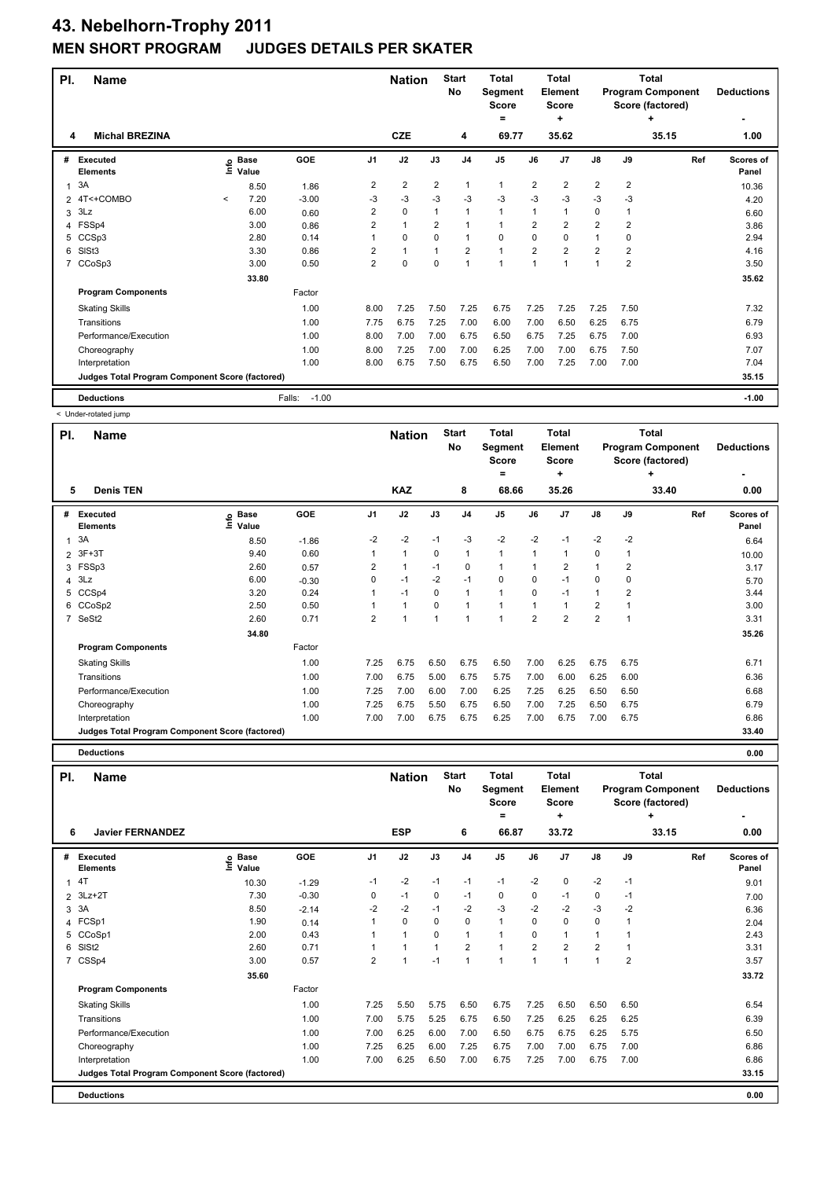## **43. Nebelhorn-Trophy 2011 JUDGES DETAILS PER SKATER**

| PI. | <b>Name</b>                                     |              |                   |                   |                | <b>Nation</b>        |                | <b>Start</b><br>No | <b>Total</b><br>Segment<br><b>Score</b><br>$\equiv$ |                | Total<br>Element<br><b>Score</b><br>÷ |                |                | Total<br><b>Program Component</b><br>Score (factored)<br>٠ | <b>Deductions</b>  |
|-----|-------------------------------------------------|--------------|-------------------|-------------------|----------------|----------------------|----------------|--------------------|-----------------------------------------------------|----------------|---------------------------------------|----------------|----------------|------------------------------------------------------------|--------------------|
| 4   | <b>Michal BREZINA</b>                           |              |                   |                   |                | <b>CZE</b>           |                | 4                  | 69.77                                               |                | 35.62                                 |                |                | 35.15                                                      | 1.00               |
| #   | Executed<br><b>Elements</b>                     |              | e Base<br>⊆ Value | GOE               | J1             | J2                   | J3             | J <sub>4</sub>     | J <sub>5</sub>                                      | J6             | J <sub>7</sub>                        | J8             | J9             | Ref                                                        | Scores of<br>Panel |
| 1   | 3A                                              |              | 8.50              | 1.86              | $\overline{2}$ | $\overline{2}$       | $\overline{2}$ | $\mathbf{1}$       | 1                                                   | $\overline{2}$ | $\overline{2}$                        | $\overline{2}$ | $\overline{2}$ |                                                            | 10.36              |
|     | 2 4T<+COMBO                                     | $\checkmark$ | 7.20              | $-3.00$           | $-3$           | $-3$                 | $-3$           | $-3$               | $-3$                                                | $-3$           | $-3$                                  | $-3$           | $-3$           |                                                            | 4.20               |
| 3   | 3Lz                                             |              | 6.00              | 0.60              | $\overline{2}$ | $\mathbf 0$          |                | 1                  | 1                                                   | 1              | $\overline{1}$                        | 0              | 1              |                                                            | 6.60               |
| 4   | FSSp4                                           |              | 3.00              | 0.86              | $\overline{2}$ | $\mathbf{1}$         | $\overline{2}$ | 1                  | 1                                                   | $\overline{2}$ | $\overline{2}$                        | $\overline{2}$ | $\overline{2}$ |                                                            | 3.86               |
| 5   | CCSp3                                           |              | 2.80              | 0.14              |                | 0                    | $\Omega$       | 1                  | 0                                                   | 0              | 0                                     | 1              | 0              |                                                            | 2.94               |
| 6   | SISt <sub>3</sub>                               |              | 3.30              | 0.86              | 2              | $\blacktriangleleft$ |                | $\overline{2}$     | 1                                                   | $\overline{2}$ | $\overline{2}$                        | $\overline{2}$ | 2              |                                                            | 4.16               |
| 7   | CCoSp3                                          |              | 3.00              | 0.50              | 2              | $\mathbf 0$          | $\Omega$       | $\overline{1}$     | 1                                                   | 1              | 4                                     | 1              | 2              |                                                            | 3.50               |
|     |                                                 |              | 33.80             |                   |                |                      |                |                    |                                                     |                |                                       |                |                |                                                            | 35.62              |
|     | <b>Program Components</b>                       |              |                   | Factor            |                |                      |                |                    |                                                     |                |                                       |                |                |                                                            |                    |
|     | <b>Skating Skills</b>                           |              |                   | 1.00              | 8.00           | 7.25                 | 7.50           | 7.25               | 6.75                                                | 7.25           | 7.25                                  | 7.25           | 7.50           |                                                            | 7.32               |
|     | Transitions                                     |              |                   | 1.00              | 7.75           | 6.75                 | 7.25           | 7.00               | 6.00                                                | 7.00           | 6.50                                  | 6.25           | 6.75           |                                                            | 6.79               |
|     | Performance/Execution                           |              |                   | 1.00              | 8.00           | 7.00                 | 7.00           | 6.75               | 6.50                                                | 6.75           | 7.25                                  | 6.75           | 7.00           |                                                            | 6.93               |
|     | Choreography                                    |              |                   | 1.00              | 8.00           | 7.25                 | 7.00           | 7.00               | 6.25                                                | 7.00           | 7.00                                  | 6.75           | 7.50           |                                                            | 7.07               |
|     | Interpretation                                  |              |                   | 1.00              | 8.00           | 6.75                 | 7.50           | 6.75               | 6.50                                                | 7.00           | 7.25                                  | 7.00           | 7.00           |                                                            | 7.04               |
|     | Judges Total Program Component Score (factored) |              |                   |                   |                |                      |                |                    |                                                     |                |                                       |                |                |                                                            | 35.15              |
|     | <b>Deductions</b>                               |              |                   | Falls:<br>$-1.00$ |                |                      |                |                    |                                                     |                |                                       |                |                |                                                            | $-1.00$            |

< Under-rotated jump

| PI.            | <b>Name</b>                                     |                            |         |                | <b>Nation</b>  |             | <b>Start</b><br>No | <b>Total</b><br>Segment<br><b>Score</b> |                | <b>Total</b><br>Element<br><b>Score</b> |                |                | <b>Total</b><br><b>Program Component</b><br>Score (factored) | <b>Deductions</b>         |
|----------------|-------------------------------------------------|----------------------------|---------|----------------|----------------|-------------|--------------------|-----------------------------------------|----------------|-----------------------------------------|----------------|----------------|--------------------------------------------------------------|---------------------------|
|                |                                                 |                            |         |                |                |             |                    | =                                       |                | ٠                                       |                |                | ٠                                                            |                           |
| 5              | <b>Denis TEN</b>                                |                            |         |                | <b>KAZ</b>     |             | 8                  | 68.66                                   |                | 35.26                                   |                |                | 33.40                                                        | 0.00                      |
| #              | Executed<br><b>Elements</b>                     | e Base<br>⊆ Value<br>Value | GOE     | J <sub>1</sub> | J2             | J3          | J <sub>4</sub>     | J5                                      | J6             | J7                                      | $\mathsf{J}8$  | J9             | Ref                                                          | <b>Scores of</b><br>Panel |
| $\mathbf{1}$   | 3A                                              | 8.50                       | $-1.86$ | $-2$           | $-2$           | $-1$        | $-3$               | $-2$                                    | $-2$           | $-1$                                    | $-2$           | $-2$           |                                                              | 6.64                      |
| $\mathcal{P}$  | $3F+3T$                                         | 9.40                       | 0.60    |                | $\mathbf{1}$   | 0           | 1                  | 1                                       |                |                                         | 0              | 1              |                                                              | 10.00                     |
| 3              | FSSp3                                           | 2.60                       | 0.57    | 2              | $\overline{1}$ | $-1$        | 0                  | 1                                       |                | $\overline{2}$                          | $\mathbf{1}$   | $\overline{2}$ |                                                              | 3.17                      |
|                | 4.3Lz                                           | 6.00                       | $-0.30$ | 0              | $-1$           | $-2$        | $-1$               | $\mathbf 0$                             | 0              | $-1$                                    | 0              | 0              |                                                              | 5.70                      |
| 5              | CCSp4                                           | 3.20                       | 0.24    |                | $-1$           | $\mathbf 0$ | $\overline{1}$     | $\mathbf{1}$                            | $\Omega$       | $-1$                                    | $\mathbf{1}$   | $\overline{2}$ |                                                              | 3.44                      |
| 6              | CCoSp2                                          | 2.50                       | 0.50    |                | 1              | $\mathbf 0$ | $\overline{1}$     | 1                                       |                |                                         | $\overline{2}$ |                |                                                              | 3.00                      |
| $\overline{7}$ | SeSt2                                           | 2.60                       | 0.71    | $\overline{2}$ |                |             |                    | 1                                       | $\overline{2}$ | $\overline{2}$                          | $\overline{2}$ | 1              |                                                              | 3.31                      |
|                |                                                 | 34.80                      |         |                |                |             |                    |                                         |                |                                         |                |                |                                                              | 35.26                     |
|                | <b>Program Components</b>                       |                            | Factor  |                |                |             |                    |                                         |                |                                         |                |                |                                                              |                           |
|                | <b>Skating Skills</b>                           |                            | 1.00    | 7.25           | 6.75           | 6.50        | 6.75               | 6.50                                    | 7.00           | 6.25                                    | 6.75           | 6.75           |                                                              | 6.71                      |
|                | Transitions                                     |                            | 1.00    | 7.00           | 6.75           | 5.00        | 6.75               | 5.75                                    | 7.00           | 6.00                                    | 6.25           | 6.00           |                                                              | 6.36                      |
|                | Performance/Execution                           |                            | 1.00    | 7.25           | 7.00           | 6.00        | 7.00               | 6.25                                    | 7.25           | 6.25                                    | 6.50           | 6.50           |                                                              | 6.68                      |
|                | Choreography                                    |                            | 1.00    | 7.25           | 6.75           | 5.50        | 6.75               | 6.50                                    | 7.00           | 7.25                                    | 6.50           | 6.75           |                                                              | 6.79                      |
|                | Interpretation                                  |                            | 1.00    | 7.00           | 7.00           | 6.75        | 6.75               | 6.25                                    | 7.00           | 6.75                                    | 7.00           | 6.75           |                                                              | 6.86                      |
|                | Judges Total Program Component Score (factored) |                            |         |                |                |             |                    |                                         |                |                                         |                |                |                                                              | 33.40                     |

|     | <b>Deductions</b>                               |                              |         |                |                |                |                    |                                              |                |                                              |                |      |                                                                   | 0.00               |
|-----|-------------------------------------------------|------------------------------|---------|----------------|----------------|----------------|--------------------|----------------------------------------------|----------------|----------------------------------------------|----------------|------|-------------------------------------------------------------------|--------------------|
| PI. | Name                                            |                              |         |                | <b>Nation</b>  |                | <b>Start</b><br>No | <b>Total</b><br>Segment<br><b>Score</b><br>= |                | <b>Total</b><br>Element<br><b>Score</b><br>٠ |                |      | <b>Total</b><br><b>Program Component</b><br>Score (factored)<br>٠ | <b>Deductions</b>  |
| 6   | <b>Javier FERNANDEZ</b>                         |                              |         |                | <b>ESP</b>     |                | 6                  | 66.87                                        |                | 33.72                                        |                |      | 33.15                                                             | 0.00               |
| #   | <b>Executed</b><br><b>Elements</b>              | <b>Base</b><br>١mfo<br>Value | GOE     | J <sub>1</sub> | J2             | J3             | J <sub>4</sub>     | J <sub>5</sub>                               | J6             | J7                                           | J8             | J9   | Ref                                                               | Scores of<br>Panel |
| 1   | 4T                                              | 10.30                        | $-1.29$ | $-1$           | $-2$           | $-1$           | $-1$               | $-1$                                         | $-2$           | 0                                            | $-2$           | $-1$ |                                                                   | 9.01               |
| 2   | $3Lz + 2T$                                      | 7.30                         | $-0.30$ | 0              | $-1$           | $\mathbf 0$    | $-1$               | $\mathbf 0$                                  | $\mathbf 0$    | $-1$                                         | $\mathbf 0$    | $-1$ |                                                                   | 7.00               |
| 3   | 3A                                              | 8.50                         | $-2.14$ | $-2$           | $-2$           | $-1$           | $-2$               | $-3$                                         | $-2$           | $-2$                                         | $-3$           | $-2$ |                                                                   | 6.36               |
| 4   | FCSp1                                           | 1.90                         | 0.14    | 1              | $\mathbf 0$    | $\Omega$       | $\mathbf 0$        | $\mathbf{1}$                                 | $\Omega$       | $\Omega$                                     | $\mathbf 0$    | 1    |                                                                   | 2.04               |
| 5   | CCoSp1                                          | 2.00                         | 0.43    | 1              | $\overline{1}$ | $\Omega$       | $\overline{1}$     | $\mathbf{1}$                                 | $\Omega$       | 1                                            | $\mathbf{1}$   |      |                                                                   | 2.43               |
| 6   | SISt <sub>2</sub>                               | 2.60                         | 0.71    | 1              | $\mathbf{1}$   | $\overline{1}$ | $\overline{2}$     | $\mathbf{1}$                                 | $\overline{2}$ | $\overline{2}$                               | $\overline{2}$ | 1    |                                                                   | 3.31               |
| 7   | CSSp4                                           | 3.00                         | 0.57    | $\overline{2}$ | 1              | $-1$           | $\overline{1}$     | 1                                            | $\mathbf{1}$   | $\overline{\phantom{a}}$                     | $\mathbf{1}$   | 2    |                                                                   | 3.57               |
|     |                                                 | 35.60                        |         |                |                |                |                    |                                              |                |                                              |                |      |                                                                   | 33.72              |
|     | <b>Program Components</b>                       |                              | Factor  |                |                |                |                    |                                              |                |                                              |                |      |                                                                   |                    |
|     | <b>Skating Skills</b>                           |                              | 1.00    | 7.25           | 5.50           | 5.75           | 6.50               | 6.75                                         | 7.25           | 6.50                                         | 6.50           | 6.50 |                                                                   | 6.54               |
|     | Transitions                                     |                              | 1.00    | 7.00           | 5.75           | 5.25           | 6.75               | 6.50                                         | 7.25           | 6.25                                         | 6.25           | 6.25 |                                                                   | 6.39               |
|     | Performance/Execution                           |                              | 1.00    | 7.00           | 6.25           | 6.00           | 7.00               | 6.50                                         | 6.75           | 6.75                                         | 6.25           | 5.75 |                                                                   | 6.50               |
|     | Choreography                                    |                              | 1.00    | 7.25           | 6.25           | 6.00           | 7.25               | 6.75                                         | 7.00           | 7.00                                         | 6.75           | 7.00 |                                                                   | 6.86               |
|     | Interpretation                                  |                              | 1.00    | 7.00           | 6.25           | 6.50           | 7.00               | 6.75                                         | 7.25           | 7.00                                         | 6.75           | 7.00 |                                                                   | 6.86               |
|     | Judges Total Program Component Score (factored) |                              |         |                |                |                |                    |                                              |                |                                              |                |      |                                                                   | 33.15              |
|     | <b>Deductions</b>                               |                              |         |                |                |                |                    |                                              |                |                                              |                |      |                                                                   | 0.00               |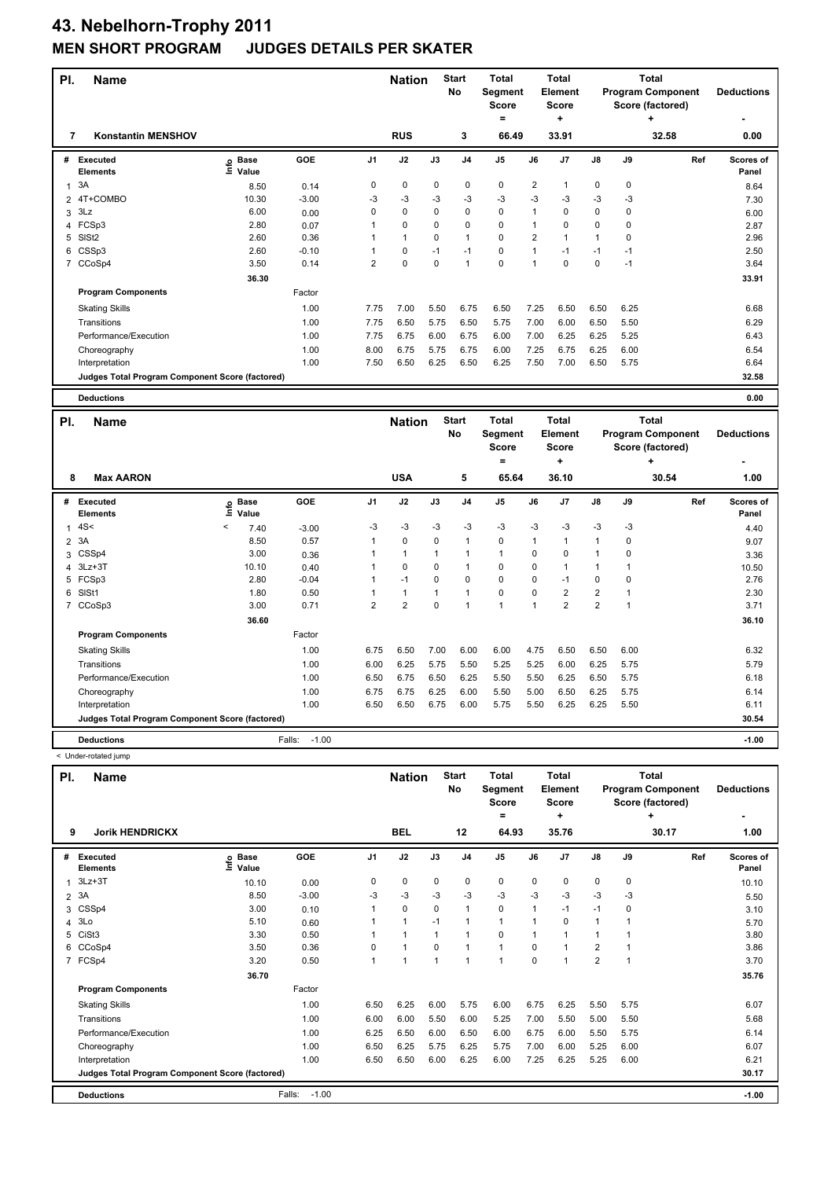| PI.            | <b>Name</b>                                     |                                  |         |                | <b>Nation</b>  |             | <b>Start</b><br>No | <b>Total</b><br>Segment<br><b>Score</b><br>$\qquad \qquad =$ |                | <b>Total</b><br><b>Element</b><br>Score<br>÷ |                         |              | <b>Total</b><br><b>Program Component</b><br>Score (factored)<br>٠ |     | <b>Deductions</b>  |
|----------------|-------------------------------------------------|----------------------------------|---------|----------------|----------------|-------------|--------------------|--------------------------------------------------------------|----------------|----------------------------------------------|-------------------------|--------------|-------------------------------------------------------------------|-----|--------------------|
| 7              | <b>Konstantin MENSHOV</b>                       |                                  |         |                | <b>RUS</b>     |             | 3                  | 66.49                                                        |                | 33.91                                        |                         |              | 32.58                                                             |     | 0.00               |
| #              | <b>Executed</b><br><b>Elements</b>              | <b>Base</b><br>e Base<br>⊆ Value | GOE     | J <sub>1</sub> | J2             | J3          | J <sub>4</sub>     | J <sub>5</sub>                                               | J6             | J7                                           | J8                      | J9           |                                                                   | Ref | Scores of<br>Panel |
| 1              | 3A                                              | 8.50                             | 0.14    | 0              | 0              | 0           | 0                  | $\pmb{0}$                                                    | $\overline{2}$ | 1                                            | $\pmb{0}$               | 0            |                                                                   |     | 8.64               |
| 2              | 4T+COMBO                                        | 10.30                            | $-3.00$ | $-3$           | $-3$           | $-3$        | $-3$               | $-3$                                                         | $-3$           | -3                                           | -3                      | -3           |                                                                   |     | 7.30               |
| 3              | 3Lz                                             | 6.00                             | 0.00    | 0              | 0              | 0           | 0                  | $\pmb{0}$                                                    | $\mathbf{1}$   | $\mathbf 0$                                  | $\pmb{0}$               | 0            |                                                                   |     | 6.00               |
| 4              | FCSp3                                           | 2.80                             | 0.07    | 1              | 0              | 0           | 0                  | $\mathbf 0$                                                  | $\mathbf{1}$   | $\mathbf 0$                                  | $\pmb{0}$               | 0            |                                                                   |     | 2.87               |
| 5              | SISt <sub>2</sub>                               | 2.60                             | 0.36    | 1              | 1              | 0           | 1                  | $\Omega$                                                     | $\overline{2}$ | 1                                            | $\mathbf{1}$            | 0            |                                                                   |     | 2.96               |
|                | 6 CSSp3                                         | 2.60                             | $-0.10$ | 1              | 0              | $-1$        | $-1$               | $\Omega$                                                     | $\overline{1}$ | $-1$                                         | $-1$                    | $-1$         |                                                                   |     | 2.50               |
|                | 7 CCoSp4                                        | 3.50                             | 0.14    | $\overline{2}$ | 0              | $\mathbf 0$ | 1                  | 0                                                            | $\overline{1}$ | 0                                            | $\mathbf 0$             | $-1$         |                                                                   |     | 3.64               |
|                |                                                 | 36.30                            |         |                |                |             |                    |                                                              |                |                                              |                         |              |                                                                   |     | 33.91              |
|                | <b>Program Components</b>                       |                                  | Factor  |                |                |             |                    |                                                              |                |                                              |                         |              |                                                                   |     |                    |
|                | <b>Skating Skills</b>                           |                                  | 1.00    | 7.75           | 7.00           | 5.50        | 6.75               | 6.50                                                         | 7.25           | 6.50                                         | 6.50                    | 6.25         |                                                                   |     | 6.68               |
|                | Transitions                                     |                                  | 1.00    | 7.75           | 6.50           | 5.75        | 6.50               | 5.75                                                         | 7.00           | 6.00                                         | 6.50                    | 5.50         |                                                                   |     | 6.29               |
|                | Performance/Execution                           |                                  | 1.00    | 7.75           | 6.75           | 6.00        | 6.75               | 6.00                                                         | 7.00           | 6.25                                         | 6.25                    | 5.25         |                                                                   |     | 6.43               |
|                | Choreography                                    |                                  | 1.00    | 8.00           | 6.75           | 5.75        | 6.75               | 6.00                                                         | 7.25           | 6.75                                         | 6.25                    | 6.00         |                                                                   |     | 6.54               |
|                | Interpretation                                  |                                  | 1.00    | 7.50           | 6.50           | 6.25        | 6.50               | 6.25                                                         | 7.50           | 7.00                                         | 6.50                    | 5.75         |                                                                   |     | 6.64               |
|                | Judges Total Program Component Score (factored) |                                  |         |                |                |             |                    |                                                              |                |                                              |                         |              |                                                                   |     | 32.58              |
|                |                                                 |                                  |         |                |                |             |                    |                                                              |                |                                              |                         |              |                                                                   |     |                    |
|                |                                                 |                                  |         |                |                |             |                    |                                                              |                |                                              |                         |              |                                                                   |     |                    |
|                | <b>Deductions</b>                               |                                  |         |                |                |             |                    |                                                              |                |                                              |                         |              |                                                                   |     | 0.00               |
|                |                                                 |                                  |         |                |                |             | <b>Start</b>       | Total                                                        |                | <b>Total</b>                                 |                         |              | <b>Total</b>                                                      |     |                    |
| PI.            | Name                                            |                                  |         |                | <b>Nation</b>  |             | No                 | Segment                                                      |                | Element                                      |                         |              | <b>Program Component</b>                                          |     | <b>Deductions</b>  |
|                |                                                 |                                  |         |                |                |             |                    | <b>Score</b>                                                 |                | <b>Score</b>                                 |                         |              | Score (factored)                                                  |     |                    |
|                |                                                 |                                  |         |                |                |             |                    | $\equiv$                                                     |                | ÷                                            |                         |              |                                                                   |     |                    |
| 8              | <b>Max AARON</b>                                |                                  |         |                | <b>USA</b>     |             | 5                  | 65.64                                                        |                | 36.10                                        |                         |              | 30.54                                                             |     | 1.00               |
| #              | Executed<br><b>Elements</b>                     | <b>Base</b><br>١m<br>Value       | GOE     | J1             | J2             | J3          | J <sub>4</sub>     | J <sub>5</sub>                                               | J6             | J7                                           | J8                      | J9           |                                                                   | Ref | Scores of<br>Panel |
| $\mathbf{1}$   | 4S<                                             | $\,<\,$<br>7.40                  | $-3.00$ | $-3$           | $-3$           | -3          | $-3$               | -3                                                           | -3             | -3                                           | -3                      | -3           |                                                                   |     | 4.40               |
| $\overline{2}$ | 3A                                              | 8.50                             | 0.57    | 1              | 0              | 0           | $\mathbf{1}$       | $\mathbf 0$                                                  | $\mathbf{1}$   | $\mathbf{1}$                                 | $\mathbf{1}$            | $\mathbf 0$  |                                                                   |     |                    |
| 3              | CSSp4                                           | 3.00                             | 0.36    | 1              | $\mathbf{1}$   | 1           | 1                  | $\mathbf{1}$                                                 | $\mathbf 0$    | $\mathbf 0$                                  | $\mathbf{1}$            | $\mathbf 0$  |                                                                   |     | 9.07<br>3.36       |
| 4              | $3Lz + 3T$                                      | 10.10                            | 0.40    | 1              | 0              | 0           | 1                  | 0                                                            | 0              | $\mathbf{1}$                                 | $\mathbf{1}$            | $\mathbf{1}$ |                                                                   |     | 10.50              |
|                | 5 FCSp3                                         | 2.80                             | $-0.04$ | 1              | $-1$           | 0           | 0                  | $\mathbf 0$                                                  | $\mathbf 0$    | $-1$                                         | $\pmb{0}$               | 0            |                                                                   |     | 2.76               |
| 6              | SISt1                                           | 1.80                             | 0.50    | 1              | 1              | 1           | 1                  | 0                                                            | $\mathbf 0$    | $\overline{2}$                               | $\overline{2}$          | 1            |                                                                   |     | 2.30               |
|                | 7 CCoSp3                                        | 3.00                             | 0.71    | $\overline{2}$ | $\overline{2}$ | $\mathbf 0$ | 1                  | $\mathbf{1}$                                                 | $\mathbf{1}$   | $\overline{2}$                               | $\overline{\mathbf{c}}$ | $\mathbf{1}$ |                                                                   |     | 3.71               |
|                |                                                 | 36.60                            |         |                |                |             |                    |                                                              |                |                                              |                         |              |                                                                   |     | 36.10              |
|                | <b>Program Components</b>                       |                                  | Factor  |                |                |             |                    |                                                              |                |                                              |                         |              |                                                                   |     |                    |
|                | <b>Skating Skills</b>                           |                                  | 1.00    | 6.75           | 6.50           | 7.00        | 6.00               | 6.00                                                         | 4.75           | 6.50                                         | 6.50                    | 6.00         |                                                                   |     | 6.32               |
|                | Transitions                                     |                                  | 1.00    | 6.00           | 6.25           | 5.75        | 5.50               | 5.25                                                         | 5.25           | 6.00                                         | 6.25                    | 5.75         |                                                                   |     | 5.79               |
|                | Performance/Execution                           |                                  | 1.00    | 6.50           | 6.75           | 6.50        | 6.25               | 5.50                                                         | 5.50           | 6.25                                         | 6.50                    | 5.75         |                                                                   |     | 6.18               |
|                | Choreography                                    |                                  | 1.00    | 6.75           | 6.75           | 6.25        | 6.00               | 5.50                                                         | 5.00           | 6.50                                         | 6.25                    | 5.75         |                                                                   |     | 6.14               |
|                | Interpretation                                  |                                  | 1.00    | 6.50           | 6.50           | 6.75        | 6.00               | 5.75                                                         | 5.50           | 6.25                                         | 6.25                    | 5.50         |                                                                   |     | 6.11               |

- 
- < Under-rotated jump
	- **Deductions** Falls: -1.00 **-1.00**

| PI.            | <b>Name</b>                                     |                            |                   |                | <b>Nation</b>  |             | <b>Start</b><br>No       | <b>Total</b><br>Segment<br><b>Score</b><br>٠ |                | <b>Total</b><br>Element<br><b>Score</b><br>÷ |                |           | <b>Total</b><br><b>Program Component</b><br>Score (factored)<br>٠ | <b>Deductions</b>         |
|----------------|-------------------------------------------------|----------------------------|-------------------|----------------|----------------|-------------|--------------------------|----------------------------------------------|----------------|----------------------------------------------|----------------|-----------|-------------------------------------------------------------------|---------------------------|
| 9              | <b>Jorik HENDRICKX</b>                          |                            |                   |                | <b>BEL</b>     |             | 12                       | 64.93                                        |                | 35.76                                        |                |           | 30.17                                                             | 1.00                      |
| #              | <b>Executed</b><br><b>Elements</b>              | © Base<br>E Value<br>Value | GOE               | J <sub>1</sub> | J2             | J3          | J <sub>4</sub>           | J <sub>5</sub>                               | J6             | J7                                           | $\mathsf{J}8$  | J9        | Ref                                                               | <b>Scores of</b><br>Panel |
| 1              | $3Lz + 3T$                                      | 10.10                      | 0.00              | 0              | $\pmb{0}$      | $\mathbf 0$ | $\mathbf 0$              | $\pmb{0}$                                    | $\mathbf 0$    | 0                                            | 0              | $\pmb{0}$ |                                                                   | 10.10                     |
| $\overline{2}$ | 3A                                              | 8.50                       | $-3.00$           | $-3$           | $-3$           | $-3$        | $-3$                     | $-3$                                         | $-3$           | $-3$                                         | $-3$           | $-3$      |                                                                   | 5.50                      |
| 3              | CSSp4                                           | 3.00                       | 0.10              |                | $\pmb{0}$      | $\mathbf 0$ | $\mathbf{1}$             | $\pmb{0}$                                    | $\overline{1}$ | $-1$                                         | $-1$           | 0         |                                                                   | 3.10                      |
|                | 4 3Lo                                           | 5.10                       | 0.60              |                | 1              | $-1$        | $\overline{\phantom{a}}$ | 1                                            |                | 0                                            | $\mathbf{1}$   |           |                                                                   | 5.70                      |
| 5              | CiSt <sub>3</sub>                               | 3.30                       | 0.50              |                | $\overline{1}$ | 1           | $\overline{\phantom{a}}$ | $\pmb{0}$                                    | 1              |                                              | $\mathbf{1}$   |           |                                                                   | 3.80                      |
| 6              | CCoSp4                                          | 3.50                       | 0.36              | $\Omega$       | 1              | $\Omega$    | $\overline{\phantom{a}}$ | $\mathbf{1}$                                 | $\Omega$       |                                              | $\overline{2}$ |           |                                                                   | 3.86                      |
|                | 7 FCSp4                                         | 3.20                       | 0.50              |                | 1              | 1           | $\overline{1}$           | $\overline{1}$                               | $\mathbf 0$    |                                              | $\overline{2}$ | 1         |                                                                   | 3.70                      |
|                |                                                 | 36.70                      |                   |                |                |             |                          |                                              |                |                                              |                |           |                                                                   | 35.76                     |
|                | <b>Program Components</b>                       |                            | Factor            |                |                |             |                          |                                              |                |                                              |                |           |                                                                   |                           |
|                | <b>Skating Skills</b>                           |                            | 1.00              | 6.50           | 6.25           | 6.00        | 5.75                     | 6.00                                         | 6.75           | 6.25                                         | 5.50           | 5.75      |                                                                   | 6.07                      |
|                | Transitions                                     |                            | 1.00              | 6.00           | 6.00           | 5.50        | 6.00                     | 5.25                                         | 7.00           | 5.50                                         | 5.00           | 5.50      |                                                                   | 5.68                      |
|                | Performance/Execution                           |                            | 1.00              | 6.25           | 6.50           | 6.00        | 6.50                     | 6.00                                         | 6.75           | 6.00                                         | 5.50           | 5.75      |                                                                   | 6.14                      |
|                | Choreography                                    |                            | 1.00              | 6.50           | 6.25           | 5.75        | 6.25                     | 5.75                                         | 7.00           | 6.00                                         | 5.25           | 6.00      |                                                                   | 6.07                      |
|                | Interpretation                                  |                            | 1.00              | 6.50           | 6.50           | 6.00        | 6.25                     | 6.00                                         | 7.25           | 6.25                                         | 5.25           | 6.00      |                                                                   | 6.21                      |
|                | Judges Total Program Component Score (factored) |                            |                   |                |                |             |                          |                                              |                |                                              |                |           |                                                                   | 30.17                     |
|                | <b>Deductions</b>                               |                            | $-1.00$<br>Falls: |                |                |             |                          |                                              |                |                                              |                |           |                                                                   | $-1.00$                   |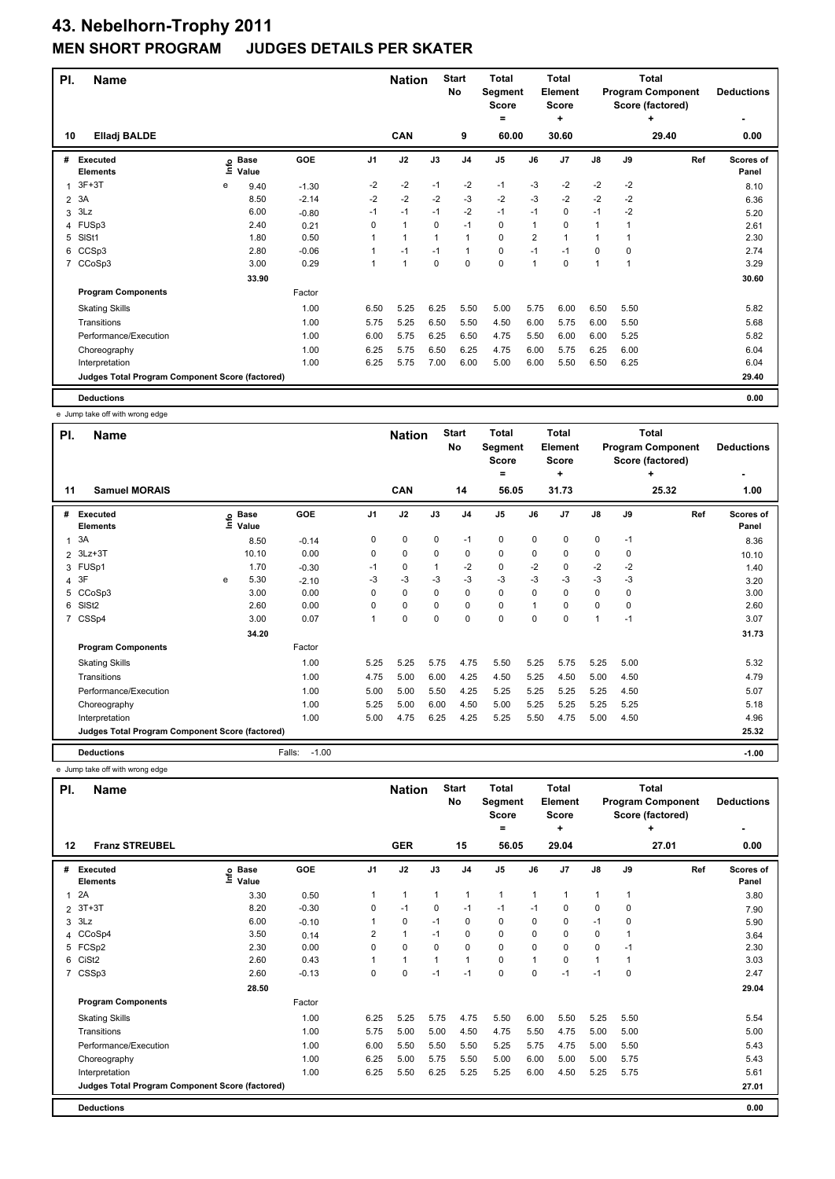| PI.            | <b>Name</b>                                     |      |                      |            |                | <b>Nation</b> |             | <b>Start</b><br><b>No</b> | <b>Total</b><br>Segment<br><b>Score</b><br>$=$ |      | <b>Total</b><br>Element<br><b>Score</b><br>÷ |      |          | <b>Total</b><br><b>Program Component</b><br>Score (factored)<br>٠ | <b>Deductions</b>  |
|----------------|-------------------------------------------------|------|----------------------|------------|----------------|---------------|-------------|---------------------------|------------------------------------------------|------|----------------------------------------------|------|----------|-------------------------------------------------------------------|--------------------|
| 10             | <b>Elladj BALDE</b>                             |      |                      |            |                | CAN           |             | 9                         | 60.00                                          |      | 30.60                                        |      |          | 29.40                                                             | 0.00               |
| #              | <b>Executed</b><br><b>Elements</b>              | ١nf٥ | <b>Base</b><br>Value | <b>GOE</b> | J <sub>1</sub> | J2            | J3          | J <sub>4</sub>            | J <sub>5</sub>                                 | J6   | J7                                           | J8   | J9       | Ref                                                               | Scores of<br>Panel |
| 1              | $3F+3T$                                         | e    | 9.40                 | $-1.30$    | $-2$           | $-2$          | $-1$        | $-2$                      | $-1$                                           | $-3$ | $-2$                                         | $-2$ | $-2$     |                                                                   | 8.10               |
| $\overline{2}$ | 3A                                              |      | 8.50                 | $-2.14$    | $-2$           | $-2$          | $-2$        | $-3$                      | $-2$                                           | $-3$ | $-2$                                         | $-2$ | $-2$     |                                                                   | 6.36               |
| 3              | 3Lz                                             |      | 6.00                 | $-0.80$    | $-1$           | $-1$          | $-1$        | $-2$                      | $-1$                                           | $-1$ | 0                                            | $-1$ | $-2$     |                                                                   | 5.20               |
|                | 4 FUSp3                                         |      | 2.40                 | 0.21       | $\Omega$       | $\mathbf{1}$  | $\Omega$    | $-1$                      | 0                                              | 1    | 0                                            | 1    |          |                                                                   | 2.61               |
| 5              | SISt1                                           |      | 1.80                 | 0.50       | 1              | $\mathbf{1}$  | 1           | 1                         | 0                                              | 2    | $\blacktriangleleft$                         | 1    |          |                                                                   | 2.30               |
| 6              | CCSp3                                           |      | 2.80                 | $-0.06$    |                | $-1$          | $-1$        | $\mathbf{1}$              | 0                                              | $-1$ | $-1$                                         | 0    | $\Omega$ |                                                                   | 2.74               |
| $\overline{7}$ | CCoSp3                                          |      | 3.00                 | 0.29       | 1              | $\mathbf{1}$  | $\mathbf 0$ | $\mathbf 0$               | 0                                              | 1    | 0                                            | 1    | 1        |                                                                   | 3.29               |
|                |                                                 |      | 33.90                |            |                |               |             |                           |                                                |      |                                              |      |          |                                                                   | 30.60              |
|                | <b>Program Components</b>                       |      |                      | Factor     |                |               |             |                           |                                                |      |                                              |      |          |                                                                   |                    |
|                | <b>Skating Skills</b>                           |      |                      | 1.00       | 6.50           | 5.25          | 6.25        | 5.50                      | 5.00                                           | 5.75 | 6.00                                         | 6.50 | 5.50     |                                                                   | 5.82               |
|                | Transitions                                     |      |                      | 1.00       | 5.75           | 5.25          | 6.50        | 5.50                      | 4.50                                           | 6.00 | 5.75                                         | 6.00 | 5.50     |                                                                   | 5.68               |
|                | Performance/Execution                           |      |                      | 1.00       | 6.00           | 5.75          | 6.25        | 6.50                      | 4.75                                           | 5.50 | 6.00                                         | 6.00 | 5.25     |                                                                   | 5.82               |
|                | Choreography                                    |      |                      | 1.00       | 6.25           | 5.75          | 6.50        | 6.25                      | 4.75                                           | 6.00 | 5.75                                         | 6.25 | 6.00     |                                                                   | 6.04               |
|                | Interpretation                                  |      |                      | 1.00       | 6.25           | 5.75          | 7.00        | 6.00                      | 5.00                                           | 6.00 | 5.50                                         | 6.50 | 6.25     |                                                                   | 6.04               |
|                | Judges Total Program Component Score (factored) |      |                      |            |                |               |             |                           |                                                |      |                                              |      |          |                                                                   | 29.40              |
|                | <b>Deductions</b>                               |      |                      |            |                |               |             |                           |                                                |      |                                              |      |          |                                                                   | 0.00               |

e Jump take off with wrong edge

|                | e Juliji lake uli willi wiuliy cuye             |   |                            |                   |                |               |             |                    |                                         |             |                                         |               |      |                                                              |                    |
|----------------|-------------------------------------------------|---|----------------------------|-------------------|----------------|---------------|-------------|--------------------|-----------------------------------------|-------------|-----------------------------------------|---------------|------|--------------------------------------------------------------|--------------------|
| PI.            | <b>Name</b>                                     |   |                            |                   |                | <b>Nation</b> |             | <b>Start</b><br>No | <b>Total</b><br>Segment<br><b>Score</b> |             | <b>Total</b><br>Element<br><b>Score</b> |               |      | <b>Total</b><br><b>Program Component</b><br>Score (factored) | <b>Deductions</b>  |
|                |                                                 |   |                            |                   |                |               |             |                    | =                                       |             | ٠                                       |               |      | ٠                                                            |                    |
| 11             | <b>Samuel MORAIS</b>                            |   |                            |                   |                | CAN           |             | 14                 | 56.05                                   |             | 31.73                                   |               |      | 25.32                                                        | 1.00               |
| #              | Executed<br><b>Elements</b>                     |   | e Base<br>E Value<br>Value | GOE               | J <sub>1</sub> | J2            | J3          | J <sub>4</sub>     | J <sub>5</sub>                          | J6          | J7                                      | $\mathsf{J}8$ | J9   | Ref                                                          | Scores of<br>Panel |
| 1              | 3A                                              |   | 8.50                       | $-0.14$           | 0              | $\mathbf 0$   | $\mathbf 0$ | $-1$               | $\mathbf 0$                             | $\mathbf 0$ | 0                                       | $\mathbf 0$   | $-1$ |                                                              | 8.36               |
| $\overline{2}$ | $3Lz + 3T$                                      |   | 10.10                      | 0.00              | 0              | 0             | 0           | 0                  | 0                                       | 0           | 0                                       | 0             | 0    |                                                              | 10.10              |
|                | 3 FUSp1                                         |   | 1.70                       | $-0.30$           | $-1$           | 0             |             | $-2$               | $\mathbf 0$                             | $-2$        | 0                                       | $-2$          | $-2$ |                                                              | 1.40               |
|                | 4 3F                                            | e | 5.30                       | $-2.10$           | -3             | $-3$          | $-3$        | $-3$               | $-3$                                    | $-3$        | $-3$                                    | $-3$          | -3   |                                                              | 3.20               |
| 5              | CCoSp3                                          |   | 3.00                       | 0.00              | $\Omega$       | $\mathbf 0$   | $\Omega$    | $\mathbf 0$        | $\mathbf 0$                             | $\Omega$    | $\Omega$                                | $\mathbf 0$   | 0    |                                                              | 3.00               |
| 6              | SISt <sub>2</sub>                               |   | 2.60                       | 0.00              | 0              | $\mathbf 0$   | 0           | $\pmb{0}$          | $\pmb{0}$                               |             | $\Omega$                                | $\mathbf 0$   | 0    |                                                              | 2.60               |
| 7              | CSSp4                                           |   | 3.00                       | 0.07              |                | 0             | 0           | 0                  | 0                                       | $\mathbf 0$ | $\Omega$                                | $\mathbf{1}$  | $-1$ |                                                              | 3.07               |
|                |                                                 |   | 34.20                      |                   |                |               |             |                    |                                         |             |                                         |               |      |                                                              | 31.73              |
|                | <b>Program Components</b>                       |   |                            | Factor            |                |               |             |                    |                                         |             |                                         |               |      |                                                              |                    |
|                | <b>Skating Skills</b>                           |   |                            | 1.00              | 5.25           | 5.25          | 5.75        | 4.75               | 5.50                                    | 5.25        | 5.75                                    | 5.25          | 5.00 |                                                              | 5.32               |
|                | Transitions                                     |   |                            | 1.00              | 4.75           | 5.00          | 6.00        | 4.25               | 4.50                                    | 5.25        | 4.50                                    | 5.00          | 4.50 |                                                              | 4.79               |
|                | Performance/Execution                           |   |                            | 1.00              | 5.00           | 5.00          | 5.50        | 4.25               | 5.25                                    | 5.25        | 5.25                                    | 5.25          | 4.50 |                                                              | 5.07               |
|                | Choreography                                    |   |                            | 1.00              | 5.25           | 5.00          | 6.00        | 4.50               | 5.00                                    | 5.25        | 5.25                                    | 5.25          | 5.25 |                                                              | 5.18               |
|                | Interpretation                                  |   |                            | 1.00              | 5.00           | 4.75          | 6.25        | 4.25               | 5.25                                    | 5.50        | 4.75                                    | 5.00          | 4.50 |                                                              | 4.96               |
|                | Judges Total Program Component Score (factored) |   |                            |                   |                |               |             |                    |                                         |             |                                         |               |      |                                                              | 25.32              |
|                | <b>Deductions</b>                               |   |                            | $-1.00$<br>Falls: |                |               |             |                    |                                         |             |                                         |               |      |                                                              | $-1.00$            |

e Jump take off with wrong edge

| PI.          | <b>Name</b>                                     |                        |         |                | <b>Nation</b> |              | <b>Start</b><br>No | <b>Total</b><br>Segment<br><b>Score</b><br>٠ |                | Total<br>Element<br><b>Score</b><br>٠ |              |              | Total<br><b>Program Component</b><br>Score (factored)<br>٠ | <b>Deductions</b>  |
|--------------|-------------------------------------------------|------------------------|---------|----------------|---------------|--------------|--------------------|----------------------------------------------|----------------|---------------------------------------|--------------|--------------|------------------------------------------------------------|--------------------|
| 12           | <b>Franz STREUBEL</b>                           |                        |         |                | <b>GER</b>    |              | 15                 | 56.05                                        |                | 29.04                                 |              |              | 27.01                                                      | 0.00               |
| #            | Executed<br><b>Elements</b>                     | $e$ Base<br>έ<br>Value | GOE     | J <sub>1</sub> | J2            | J3           | J <sub>4</sub>     | J <sub>5</sub>                               | J6             | J <sub>7</sub>                        | J8           | J9           | Ref                                                        | Scores of<br>Panel |
| $\mathbf{1}$ | 2A                                              | 3.30                   | 0.50    | 1              | $\mathbf{1}$  | $\mathbf{1}$ | $\mathbf{1}$       | $\mathbf{1}$                                 | 1              |                                       | $\mathbf{1}$ | $\mathbf{1}$ |                                                            | 3.80               |
|              | 2 3T+3T                                         | 8.20                   | $-0.30$ | 0              | $-1$          | 0            | $-1$               | $-1$                                         | $-1$           | 0                                     | 0            | 0            |                                                            | 7.90               |
| 3            | 3Lz                                             | 6.00                   | $-0.10$ |                | $\mathbf 0$   | $-1$         | 0                  | 0                                            | 0              | 0                                     | $-1$         | $\mathbf 0$  |                                                            | 5.90               |
|              | 4 CCoSp4                                        | 3.50                   | 0.14    | 2              | $\mathbf{1}$  | $-1$         | 0                  | 0                                            | 0              | $\Omega$                              | 0            | 1            |                                                            | 3.64               |
|              | 5 FCSp2                                         | 2.30                   | 0.00    | $\Omega$       | $\mathbf 0$   | $\Omega$     | 0                  | 0                                            | 0              | 0                                     | 0            | $-1$         |                                                            | 2.30               |
| 6            | CiSt <sub>2</sub>                               | 2.60                   | 0.43    | 1              | $\mathbf{1}$  |              | $\mathbf{1}$       | $\mathbf 0$                                  | $\overline{1}$ | $\Omega$                              | $\mathbf{1}$ |              |                                                            | 3.03               |
|              | 7 CSSp3                                         | 2.60                   | $-0.13$ | $\Omega$       | $\mathbf 0$   | $-1$         | $-1$               | $\Omega$                                     | $\Omega$       | $-1$                                  | $-1$         | $\Omega$     |                                                            | 2.47               |
|              |                                                 | 28.50                  |         |                |               |              |                    |                                              |                |                                       |              |              |                                                            | 29.04              |
|              | <b>Program Components</b>                       |                        | Factor  |                |               |              |                    |                                              |                |                                       |              |              |                                                            |                    |
|              | <b>Skating Skills</b>                           |                        | 1.00    | 6.25           | 5.25          | 5.75         | 4.75               | 5.50                                         | 6.00           | 5.50                                  | 5.25         | 5.50         |                                                            | 5.54               |
|              | Transitions                                     |                        | 1.00    | 5.75           | 5.00          | 5.00         | 4.50               | 4.75                                         | 5.50           | 4.75                                  | 5.00         | 5.00         |                                                            | 5.00               |
|              | Performance/Execution                           |                        | 1.00    | 6.00           | 5.50          | 5.50         | 5.50               | 5.25                                         | 5.75           | 4.75                                  | 5.00         | 5.50         |                                                            | 5.43               |
|              | Choreography                                    |                        | 1.00    | 6.25           | 5.00          | 5.75         | 5.50               | 5.00                                         | 6.00           | 5.00                                  | 5.00         | 5.75         |                                                            | 5.43               |
|              | Interpretation                                  |                        | 1.00    | 6.25           | 5.50          | 6.25         | 5.25               | 5.25                                         | 6.00           | 4.50                                  | 5.25         | 5.75         |                                                            | 5.61               |
|              | Judges Total Program Component Score (factored) |                        |         |                |               |              |                    |                                              |                |                                       |              |              |                                                            | 27.01              |
|              | <b>Deductions</b>                               |                        |         |                |               |              |                    |                                              |                |                                       |              |              |                                                            | 0.00               |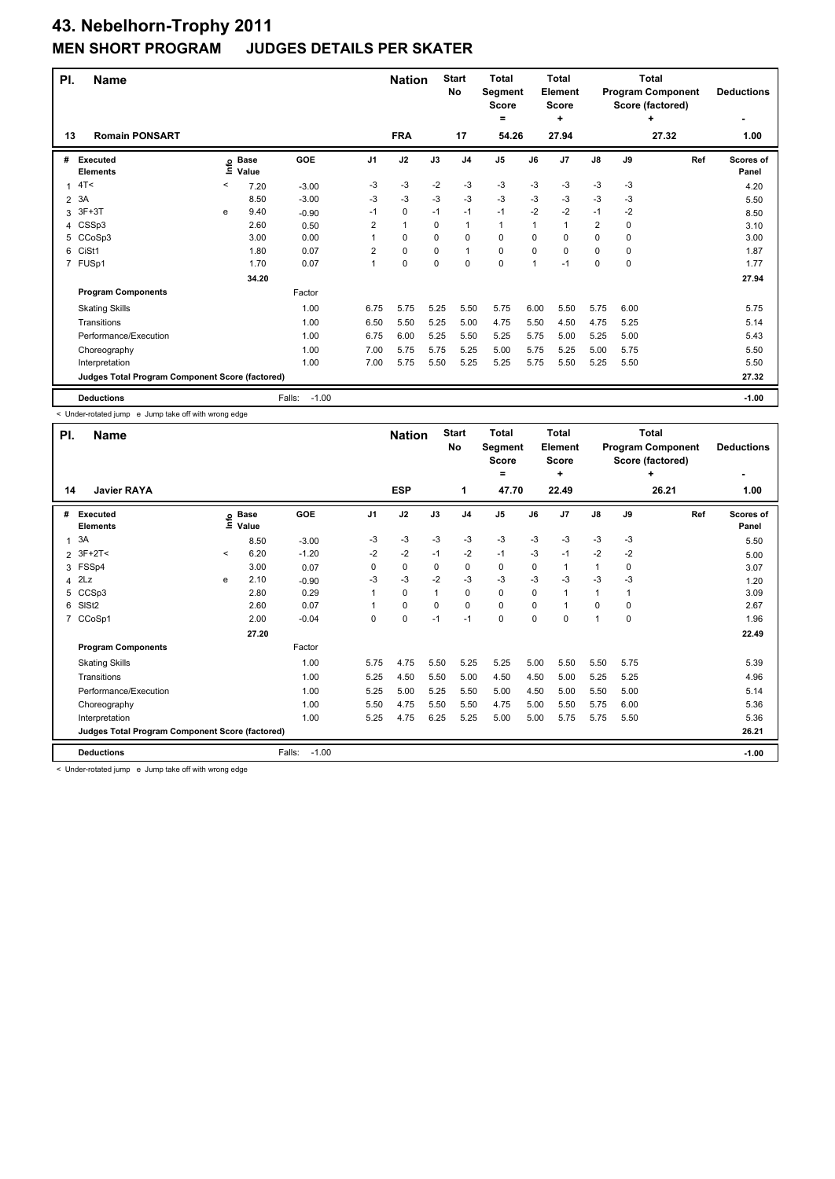## **43. Nebelhorn-Trophy 2011 JUDGES DETAILS PER SKATER**

| PI.            | <b>Name</b>                                     |         |                      |                   |                | <b>Nation</b> |          | <b>Start</b><br>No | <b>Total</b><br>Segment<br><b>Score</b><br>$\equiv$ |             | <b>Total</b><br>Element<br><b>Score</b><br>÷ |                |          | <b>Total</b><br><b>Program Component</b><br>Score (factored)<br>٠ | <b>Deductions</b>  |
|----------------|-------------------------------------------------|---------|----------------------|-------------------|----------------|---------------|----------|--------------------|-----------------------------------------------------|-------------|----------------------------------------------|----------------|----------|-------------------------------------------------------------------|--------------------|
| 13             | <b>Romain PONSART</b>                           |         |                      |                   |                | <b>FRA</b>    |          | 17                 | 54.26                                               |             | 27.94                                        |                |          | 27.32                                                             | 1.00               |
| #              | Executed<br><b>Elements</b>                     | ١nf٥    | <b>Base</b><br>Value | GOE               | J1             | J2            | J3       | J <sub>4</sub>     | J <sub>5</sub>                                      | J6          | J <sub>7</sub>                               | J8             | J9       | Ref                                                               | Scores of<br>Panel |
| 1              | 4T<                                             | $\,<\,$ | 7.20                 | $-3.00$           | $-3$           | $-3$          | $-2$     | $-3$               | $-3$                                                | $-3$        | $-3$                                         | $-3$           | $-3$     |                                                                   | 4.20               |
|                | 2 3A                                            |         | 8.50                 | $-3.00$           | $-3$           | $-3$          | -3       | $-3$               | $-3$                                                | -3          | -3                                           | -3             | -3       |                                                                   | 5.50               |
| 3              | $3F+3T$                                         | e       | 9.40                 | $-0.90$           | $-1$           | 0             | $-1$     | $-1$               | $-1$                                                | $-2$        | $-2$                                         | $-1$           | $-2$     |                                                                   | 8.50               |
| 4              | CSSp3                                           |         | 2.60                 | 0.50              | 2              | $\mathbf{1}$  | $\Omega$ | 1                  | 1                                                   | $\mathbf 1$ | $\overline{1}$                               | $\overline{2}$ | 0        |                                                                   | 3.10               |
| 5              | CCoSp3                                          |         | 3.00                 | 0.00              |                | 0             | $\Omega$ | $\Omega$           | 0                                                   | $\Omega$    | $\Omega$                                     | 0              | 0        |                                                                   | 3.00               |
| 6              | CiSt1                                           |         | 1.80                 | 0.07              | $\overline{2}$ | 0             | 0        | 1                  | 0                                                   | $\Omega$    | $\Omega$                                     | 0              | $\Omega$ |                                                                   | 1.87               |
| $\overline{7}$ | FUSp1                                           |         | 1.70                 | 0.07              | 1              | $\mathbf 0$   | 0        | $\mathbf 0$        | 0                                                   | 1           | -1                                           | 0              | 0        |                                                                   | 1.77               |
|                |                                                 |         | 34.20                |                   |                |               |          |                    |                                                     |             |                                              |                |          |                                                                   | 27.94              |
|                | <b>Program Components</b>                       |         |                      | Factor            |                |               |          |                    |                                                     |             |                                              |                |          |                                                                   |                    |
|                | <b>Skating Skills</b>                           |         |                      | 1.00              | 6.75           | 5.75          | 5.25     | 5.50               | 5.75                                                | 6.00        | 5.50                                         | 5.75           | 6.00     |                                                                   | 5.75               |
|                | Transitions                                     |         |                      | 1.00              | 6.50           | 5.50          | 5.25     | 5.00               | 4.75                                                | 5.50        | 4.50                                         | 4.75           | 5.25     |                                                                   | 5.14               |
|                | Performance/Execution                           |         |                      | 1.00              | 6.75           | 6.00          | 5.25     | 5.50               | 5.25                                                | 5.75        | 5.00                                         | 5.25           | 5.00     |                                                                   | 5.43               |
|                | Choreography                                    |         |                      | 1.00              | 7.00           | 5.75          | 5.75     | 5.25               | 5.00                                                | 5.75        | 5.25                                         | 5.00           | 5.75     |                                                                   | 5.50               |
|                | Interpretation                                  |         |                      | 1.00              | 7.00           | 5.75          | 5.50     | 5.25               | 5.25                                                | 5.75        | 5.50                                         | 5.25           | 5.50     |                                                                   | 5.50               |
|                | Judges Total Program Component Score (factored) |         |                      |                   |                |               |          |                    |                                                     |             |                                              |                |          |                                                                   | 27.32              |
|                | <b>Deductions</b>                               |         |                      | $-1.00$<br>Falls: |                |               |          |                    |                                                     |             |                                              |                |          |                                                                   | $-1.00$            |

< Under-rotated jump e Jump take off with wrong edge

| PI.            | <b>Name</b>                                     |         |                   |                   |                | <b>Nation</b> |          | <b>Start</b><br><b>No</b> | Total<br>Segment<br><b>Score</b><br>= |          | <b>Total</b><br>Element<br><b>Score</b><br>٠ |                |          | Total<br><b>Program Component</b><br>Score (factored)<br>٠ | <b>Deductions</b>  |
|----------------|-------------------------------------------------|---------|-------------------|-------------------|----------------|---------------|----------|---------------------------|---------------------------------------|----------|----------------------------------------------|----------------|----------|------------------------------------------------------------|--------------------|
| 14             | <b>Javier RAYA</b>                              |         |                   |                   |                | <b>ESP</b>    |          | 1                         | 47.70                                 |          | 22.49                                        |                |          | 26.21                                                      | 1.00               |
| #              | <b>Executed</b><br><b>Elements</b>              |         | e Base<br>⊆ Value | GOE               | J <sub>1</sub> | J2            | J3       | J <sub>4</sub>            | J <sub>5</sub>                        | J6       | J <sub>7</sub>                               | J8             | J9       | Ref                                                        | Scores of<br>Panel |
| 1              | 3A                                              |         | 8.50              | $-3.00$           | $-3$           | $-3$          | $-3$     | -3                        | $-3$                                  | $-3$     | $-3$                                         | $-3$           | $-3$     |                                                            | 5.50               |
| 2              | $3F+2T<$                                        | $\prec$ | 6.20              | $-1.20$           | $-2$           | $-2$          | $-1$     | $-2$                      | $-1$                                  | $-3$     | $-1$                                         | $-2$           | $-2$     |                                                            | 5.00               |
| 3              | FSSp4                                           |         | 3.00              | 0.07              | 0              | $\mathbf 0$   | 0        | $\mathbf 0$               | 0                                     | 0        | 1                                            | $\mathbf{1}$   | 0        |                                                            | 3.07               |
| $\overline{4}$ | 2Lz                                             | e       | 2.10              | $-0.90$           | -3             | $-3$          | $-2$     | $-3$                      | $-3$                                  | $-3$     | $-3$                                         | $-3$           | $-3$     |                                                            | 1.20               |
| 5              | CCSp3                                           |         | 2.80              | 0.29              |                | 0             |          | 0                         | 0                                     | 0        | 1                                            | 1              |          |                                                            | 3.09               |
| 6              | SISt <sub>2</sub>                               |         | 2.60              | 0.07              |                | $\mathbf 0$   | $\Omega$ | $\mathbf 0$               | 0                                     | $\Omega$ |                                              | $\Omega$       | $\Omega$ |                                                            | 2.67               |
| $\overline{7}$ | CCoSp1                                          |         | 2.00              | $-0.04$           | $\Omega$       | $\mathbf 0$   | $-1$     | $-1$                      | 0                                     | $\Omega$ | $\Omega$                                     | $\overline{ }$ | $\Omega$ |                                                            | 1.96               |
|                |                                                 |         | 27.20             |                   |                |               |          |                           |                                       |          |                                              |                |          |                                                            | 22.49              |
|                | <b>Program Components</b>                       |         |                   | Factor            |                |               |          |                           |                                       |          |                                              |                |          |                                                            |                    |
|                | <b>Skating Skills</b>                           |         |                   | 1.00              | 5.75           | 4.75          | 5.50     | 5.25                      | 5.25                                  | 5.00     | 5.50                                         | 5.50           | 5.75     |                                                            | 5.39               |
|                | Transitions                                     |         |                   | 1.00              | 5.25           | 4.50          | 5.50     | 5.00                      | 4.50                                  | 4.50     | 5.00                                         | 5.25           | 5.25     |                                                            | 4.96               |
|                | Performance/Execution                           |         |                   | 1.00              | 5.25           | 5.00          | 5.25     | 5.50                      | 5.00                                  | 4.50     | 5.00                                         | 5.50           | 5.00     |                                                            | 5.14               |
|                | Choreography                                    |         |                   | 1.00              | 5.50           | 4.75          | 5.50     | 5.50                      | 4.75                                  | 5.00     | 5.50                                         | 5.75           | 6.00     |                                                            | 5.36               |
|                | Interpretation                                  |         |                   | 1.00              | 5.25           | 4.75          | 6.25     | 5.25                      | 5.00                                  | 5.00     | 5.75                                         | 5.75           | 5.50     |                                                            | 5.36               |
|                | Judges Total Program Component Score (factored) |         |                   |                   |                |               |          |                           |                                       |          |                                              |                |          |                                                            | 26.21              |
|                | <b>Deductions</b>                               |         |                   | $-1.00$<br>Falls: |                |               |          |                           |                                       |          |                                              |                |          |                                                            | $-1.00$            |

< Under-rotated jump e Jump take off with wrong edge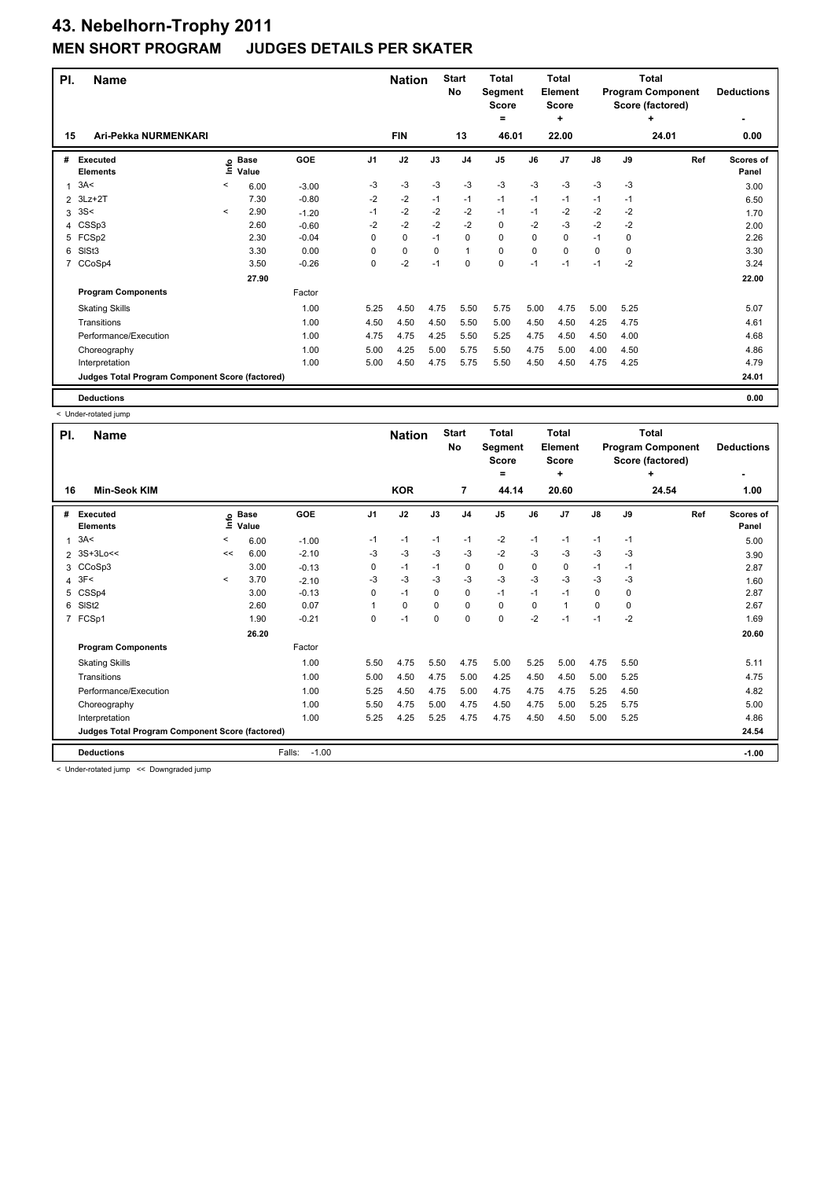| PI. | <b>Name</b>                                     |         |                      |         |      | <b>Nation</b> |          | <b>Start</b><br>No | <b>Total</b><br>Segment<br><b>Score</b><br>= |      | Total<br>Element<br><b>Score</b><br>÷ |      |      | Total<br><b>Program Component</b><br>Score (factored)<br>٠ | <b>Deductions</b>  |
|-----|-------------------------------------------------|---------|----------------------|---------|------|---------------|----------|--------------------|----------------------------------------------|------|---------------------------------------|------|------|------------------------------------------------------------|--------------------|
| 15  | Ari-Pekka NURMENKARI                            |         |                      |         |      | <b>FIN</b>    |          | 13                 | 46.01                                        |      | 22.00                                 |      |      | 24.01                                                      | 0.00               |
| #   | <b>Executed</b><br><b>Elements</b>              | lnfo    | <b>Base</b><br>Value | GOE     | J1   | J2            | J3       | J <sub>4</sub>     | J <sub>5</sub>                               | J6   | J7                                    | J8   | J9   | Ref                                                        | Scores of<br>Panel |
| 1   | 3A<                                             | $\,<\,$ | 6.00                 | $-3.00$ | $-3$ | -3            | $-3$     | $-3$               | $-3$                                         | $-3$ | $-3$                                  | $-3$ | $-3$ |                                                            | 3.00               |
| 2   | $3Lz + 2T$                                      |         | 7.30                 | $-0.80$ | $-2$ | $-2$          | $-1$     | $-1$               | $-1$                                         | $-1$ | $-1$                                  | $-1$ | -1   |                                                            | 6.50               |
| 3   | 3S<                                             | $\prec$ | 2.90                 | $-1.20$ | $-1$ | $-2$          | $-2$     | $-2$               | $-1$                                         | $-1$ | $-2$                                  | $-2$ | $-2$ |                                                            | 1.70               |
| 4   | CSSp3                                           |         | 2.60                 | $-0.60$ | $-2$ | $-2$          | $-2$     | $-2$               | 0                                            | $-2$ | $-3$                                  | $-2$ | $-2$ |                                                            | 2.00               |
| 5   | FCSp2                                           |         | 2.30                 | $-0.04$ | 0    | $\mathbf 0$   | $-1$     | $\mathbf 0$        | $\Omega$                                     | 0    | 0                                     | $-1$ | 0    |                                                            | 2.26               |
| 6   | SISt <sub>3</sub>                               |         | 3.30                 | 0.00    | 0    | 0             | $\Omega$ | $\mathbf{1}$       | 0                                            | 0    | 0                                     | 0    | 0    |                                                            | 3.30               |
| 7   | CCoSp4                                          |         | 3.50                 | $-0.26$ | 0    | $-2$          | $-1$     | $\mathbf 0$        | 0                                            | $-1$ | $-1$                                  | $-1$ | $-2$ |                                                            | 3.24               |
|     |                                                 |         | 27.90                |         |      |               |          |                    |                                              |      |                                       |      |      |                                                            | 22.00              |
|     | <b>Program Components</b>                       |         |                      | Factor  |      |               |          |                    |                                              |      |                                       |      |      |                                                            |                    |
|     | <b>Skating Skills</b>                           |         |                      | 1.00    | 5.25 | 4.50          | 4.75     | 5.50               | 5.75                                         | 5.00 | 4.75                                  | 5.00 | 5.25 |                                                            | 5.07               |
|     | Transitions                                     |         |                      | 1.00    | 4.50 | 4.50          | 4.50     | 5.50               | 5.00                                         | 4.50 | 4.50                                  | 4.25 | 4.75 |                                                            | 4.61               |
|     | Performance/Execution                           |         |                      | 1.00    | 4.75 | 4.75          | 4.25     | 5.50               | 5.25                                         | 4.75 | 4.50                                  | 4.50 | 4.00 |                                                            | 4.68               |
|     | Choreography                                    |         |                      | 1.00    | 5.00 | 4.25          | 5.00     | 5.75               | 5.50                                         | 4.75 | 5.00                                  | 4.00 | 4.50 |                                                            | 4.86               |
|     | Interpretation                                  |         |                      | 1.00    | 5.00 | 4.50          | 4.75     | 5.75               | 5.50                                         | 4.50 | 4.50                                  | 4.75 | 4.25 |                                                            | 4.79               |
|     | Judges Total Program Component Score (factored) |         |                      |         |      |               |          |                    |                                              |      |                                       |      |      |                                                            | 24.01              |
|     | <b>Deductions</b>                               |         |                      |         |      |               |          |                    |                                              |      |                                       |      |      |                                                            | 0.00               |

< Under-rotated jump

| PI. | <b>Name</b>                                     |              | <b>Nation</b>              |                   | <b>Start</b><br><b>No</b> | <b>Total</b><br>Segment<br>Score |             | <b>Total</b><br>Element<br>Score |                | <b>Total</b><br><b>Program Component</b><br>Score (factored) | <b>Deductions</b> |               |      |       |                    |
|-----|-------------------------------------------------|--------------|----------------------------|-------------------|---------------------------|----------------------------------|-------------|----------------------------------|----------------|--------------------------------------------------------------|-------------------|---------------|------|-------|--------------------|
|     |                                                 |              |                            |                   |                           |                                  |             |                                  | ٠              |                                                              | ٠                 |               |      | ٠     |                    |
| 16  | <b>Min-Seok KIM</b>                             |              |                            |                   |                           | <b>KOR</b>                       |             | $\overline{7}$                   | 44.14          |                                                              | 20.60             |               |      | 24.54 | 1.00               |
| #   | <b>Executed</b><br><b>Elements</b>              |              | e Base<br>E Value<br>Value | GOE               | J <sub>1</sub>            | J2                               | J3          | J <sub>4</sub>                   | J <sub>5</sub> | J6                                                           | J <sub>7</sub>    | $\mathsf{J}8$ | J9   | Ref   | Scores of<br>Panel |
| 1   | 3A<                                             | $\,<\,$      | 6.00                       | $-1.00$           | $-1$                      | -1                               | $-1$        | -1                               | $-2$           | $-1$                                                         | $-1$              | $-1$          | $-1$ |       | 5.00               |
| 2   | 3S+3Lo<<                                        | <<           | 6.00                       | $-2.10$           | -3                        | -3                               | -3          | -3                               | -2             | -3                                                           | -3                | -3            | -3   |       | 3.90               |
| 3   | CCoSp3                                          |              | 3.00                       | $-0.13$           | 0                         | $-1$                             | $-1$        | 0                                | 0              | $\Omega$                                                     | 0                 | $-1$          | $-1$ |       | 2.87               |
| 4   | 3F<                                             | $\checkmark$ | 3.70                       | $-2.10$           | -3                        | $-3$                             | -3          | $-3$                             | $-3$           | $-3$                                                         | $-3$              | $-3$          | -3   |       | 1.60               |
| 5   | CSSp4                                           |              | 3.00                       | $-0.13$           | 0                         | $-1$                             | 0           | $\pmb{0}$                        | $-1$           | $-1$                                                         | $-1$              | 0             | 0    |       | 2.87               |
| 6   | SIS <sub>t2</sub>                               |              | 2.60                       | 0.07              |                           | 0                                | $\Omega$    | 0                                | 0              | 0                                                            |                   | 0             | 0    |       | 2.67               |
|     | 7 FCSp1                                         |              | 1.90                       | $-0.21$           | 0                         | $-1$                             | $\mathbf 0$ | $\mathbf 0$                      | 0              | $-2$                                                         | $-1$              | $-1$          | $-2$ |       | 1.69               |
|     |                                                 |              | 26.20                      |                   |                           |                                  |             |                                  |                |                                                              |                   |               |      |       | 20.60              |
|     | <b>Program Components</b>                       |              |                            | Factor            |                           |                                  |             |                                  |                |                                                              |                   |               |      |       |                    |
|     | <b>Skating Skills</b>                           |              |                            | 1.00              | 5.50                      | 4.75                             | 5.50        | 4.75                             | 5.00           | 5.25                                                         | 5.00              | 4.75          | 5.50 |       | 5.11               |
|     | Transitions                                     |              |                            | 1.00              | 5.00                      | 4.50                             | 4.75        | 5.00                             | 4.25           | 4.50                                                         | 4.50              | 5.00          | 5.25 |       | 4.75               |
|     | Performance/Execution                           |              |                            | 1.00              | 5.25                      | 4.50                             | 4.75        | 5.00                             | 4.75           | 4.75                                                         | 4.75              | 5.25          | 4.50 |       | 4.82               |
|     | Choreography                                    |              |                            | 1.00              | 5.50                      | 4.75                             | 5.00        | 4.75                             | 4.50           | 4.75                                                         | 5.00              | 5.25          | 5.75 |       | 5.00               |
|     | Interpretation                                  |              |                            | 1.00              | 5.25                      | 4.25                             | 5.25        | 4.75                             | 4.75           | 4.50                                                         | 4.50              | 5.00          | 5.25 |       | 4.86               |
|     | Judges Total Program Component Score (factored) |              |                            |                   |                           |                                  |             |                                  |                |                                                              |                   |               |      |       | 24.54              |
|     | <b>Deductions</b>                               |              |                            | $-1.00$<br>Falls: |                           |                                  |             |                                  |                |                                                              |                   |               |      |       | $-1.00$            |

< Under-rotated jump << Downgraded jump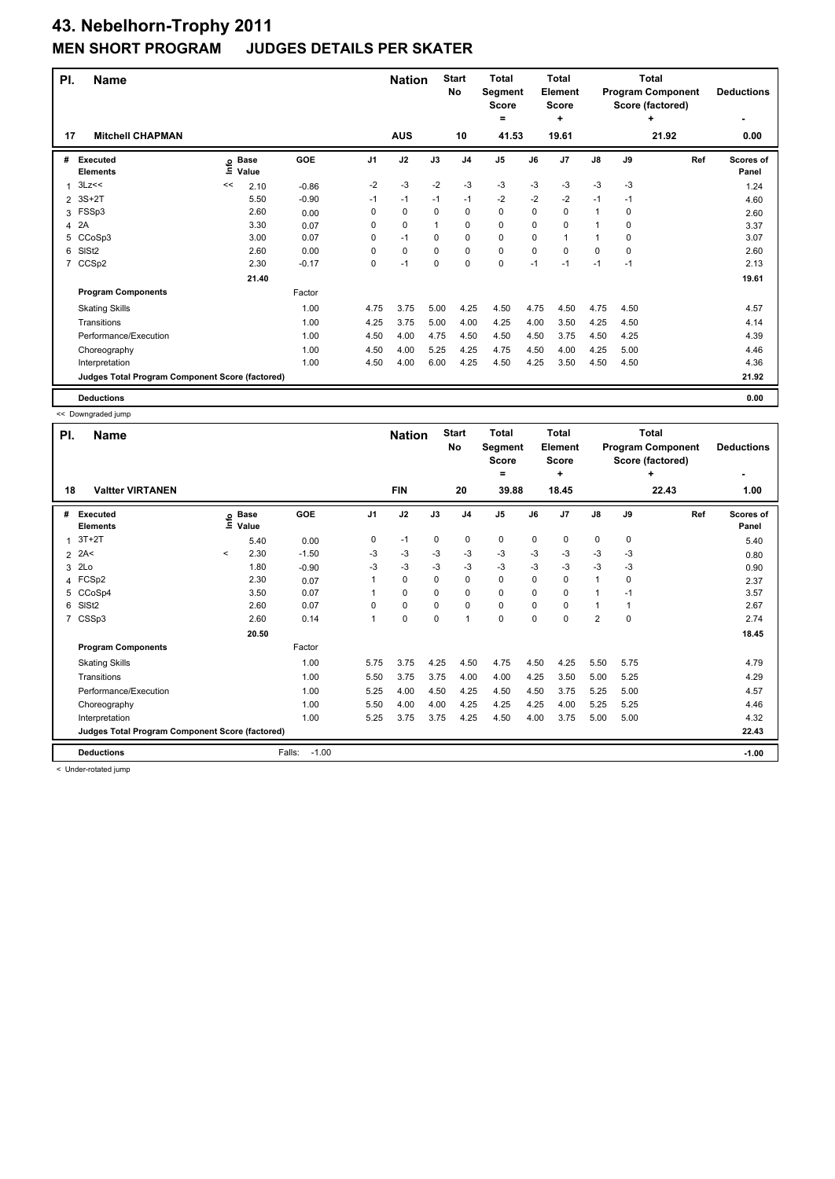| PI.            | <b>Name</b>                                     |      |                      |         |      | <b>Nation</b> |          | <b>Start</b><br>No | <b>Total</b><br>Segment<br><b>Score</b><br>٠ |          | Total<br>Element<br><b>Score</b><br>÷ |              | Total<br><b>Program Component</b><br>Score (factored)<br>٠ |       | <b>Deductions</b>  |
|----------------|-------------------------------------------------|------|----------------------|---------|------|---------------|----------|--------------------|----------------------------------------------|----------|---------------------------------------|--------------|------------------------------------------------------------|-------|--------------------|
| 17             | <b>Mitchell CHAPMAN</b>                         |      |                      |         |      | <b>AUS</b>    |          | 10                 | 41.53                                        |          | 19.61                                 |              |                                                            | 21.92 | 0.00               |
| #              | <b>Executed</b><br><b>Elements</b>              | ١nf٥ | <b>Base</b><br>Value | GOE     | J1   | J2            | J3       | J <sub>4</sub>     | J5                                           | J6       | J7                                    | J8           | J9                                                         | Ref   | Scores of<br>Panel |
| 1              | 3Lz<<                                           | <<   | 2.10                 | $-0.86$ | $-2$ | $-3$          | $-2$     | $-3$               | $-3$                                         | $-3$     | $-3$                                  | $-3$         | $-3$                                                       |       | 1.24               |
| $\overline{2}$ | $3S+2T$                                         |      | 5.50                 | $-0.90$ | $-1$ | $-1$          | $-1$     | $-1$               | $-2$                                         | $-2$     | $-2$                                  | $-1$         | -1                                                         |       | 4.60               |
|                | 3 FSSp3                                         |      | 2.60                 | 0.00    | 0    | 0             | $\Omega$ | 0                  | 0                                            | $\Omega$ | 0                                     | $\mathbf{1}$ | 0                                                          |       | 2.60               |
|                | 4 2A                                            |      | 3.30                 | 0.07    | 0    | 0             |          | 0                  | 0                                            | $\Omega$ | $\Omega$                              | $\mathbf{1}$ | $\Omega$                                                   |       | 3.37               |
| 5              | CCoSp3                                          |      | 3.00                 | 0.07    | 0    | $-1$          | $\Omega$ | $\mathbf 0$        | 0                                            | 0        | 1                                     | 1            | $\Omega$                                                   |       | 3.07               |
| 6              | SIS <sub>t2</sub>                               |      | 2.60                 | 0.00    | 0    | 0             | $\Omega$ | 0                  | 0                                            | 0        | $\Omega$                              | 0            | 0                                                          |       | 2.60               |
| 7              | CCS <sub>p2</sub>                               |      | 2.30                 | $-0.17$ | 0    | $-1$          | 0        | 0                  | 0                                            | $-1$     | $-1$                                  | $-1$         | $-1$                                                       |       | 2.13               |
|                |                                                 |      | 21.40                |         |      |               |          |                    |                                              |          |                                       |              |                                                            |       | 19.61              |
|                | <b>Program Components</b>                       |      |                      | Factor  |      |               |          |                    |                                              |          |                                       |              |                                                            |       |                    |
|                | <b>Skating Skills</b>                           |      |                      | 1.00    | 4.75 | 3.75          | 5.00     | 4.25               | 4.50                                         | 4.75     | 4.50                                  | 4.75         | 4.50                                                       |       | 4.57               |
|                | Transitions                                     |      |                      | 1.00    | 4.25 | 3.75          | 5.00     | 4.00               | 4.25                                         | 4.00     | 3.50                                  | 4.25         | 4.50                                                       |       | 4.14               |
|                | Performance/Execution                           |      |                      | 1.00    | 4.50 | 4.00          | 4.75     | 4.50               | 4.50                                         | 4.50     | 3.75                                  | 4.50         | 4.25                                                       |       | 4.39               |
|                | Choreography                                    |      |                      | 1.00    | 4.50 | 4.00          | 5.25     | 4.25               | 4.75                                         | 4.50     | 4.00                                  | 4.25         | 5.00                                                       |       | 4.46               |
|                | Interpretation                                  |      |                      | 1.00    | 4.50 | 4.00          | 6.00     | 4.25               | 4.50                                         | 4.25     | 3.50                                  | 4.50         | 4.50                                                       |       | 4.36               |
|                | Judges Total Program Component Score (factored) |      |                      |         |      |               |          |                    |                                              |          |                                       |              |                                                            |       | 21.92              |
|                | <b>Deductions</b>                               |      |                      |         |      |               |          |                    |                                              |          |                                       |              |                                                            |       | 0.00               |

<< Downgraded jump

|                | . . Downgraaca jump                             |              |                            |                   |          |             |                                                |                |                                         |          |                                                              |                   |      |       |                    |
|----------------|-------------------------------------------------|--------------|----------------------------|-------------------|----------|-------------|------------------------------------------------|----------------|-----------------------------------------|----------|--------------------------------------------------------------|-------------------|------|-------|--------------------|
| PI.            | <b>Name</b>                                     |              |                            | <b>Nation</b>     |          |             | <b>Total</b><br><b>Segment</b><br><b>Score</b> |                | <b>Total</b><br>Element<br><b>Score</b> |          | <b>Total</b><br><b>Program Component</b><br>Score (factored) | <b>Deductions</b> |      |       |                    |
|                |                                                 |              |                            |                   |          |             |                                                |                | =                                       |          | ٠                                                            |                   |      | ÷     |                    |
| 18             | <b>Valtter VIRTANEN</b>                         |              |                            |                   |          | <b>FIN</b>  |                                                | 20             | 39.88                                   |          | 18.45                                                        |                   |      | 22.43 | 1.00               |
| #              | <b>Executed</b><br><b>Elements</b>              |              | e Base<br>⊑ Value<br>Value | <b>GOE</b>        | J1       | J2          | J3                                             | J <sub>4</sub> | J <sub>5</sub>                          | J6       | J <sub>7</sub>                                               | $\mathsf{J}8$     | J9   | Ref   | Scores of<br>Panel |
| 1              | $3T+2T$                                         |              | 5.40                       | 0.00              | 0        | $-1$        | 0                                              | 0              | 0                                       | 0        | 0                                                            | 0                 | 0    |       | 5.40               |
|                | $2$ 2A<                                         | $\checkmark$ | 2.30                       | $-1.50$           | -3       | -3          | -3                                             | -3             | $-3$                                    | -3       | -3                                                           | -3                | -3   |       | 0.80               |
| 3              | 2Lo                                             |              | 1.80                       | $-0.90$           | -3       | $-3$        | $-3$                                           | $-3$           | $-3$                                    | $-3$     | $-3$                                                         | $-3$              | -3   |       | 0.90               |
|                | 4 FCSp2                                         |              | 2.30                       | 0.07              |          | $\mathbf 0$ | $\Omega$                                       | 0              | $\mathbf 0$                             | $\Omega$ | $\Omega$                                                     | 1                 | 0    |       | 2.37               |
| 5              | CCoSp4                                          |              | 3.50                       | 0.07              |          | $\mathbf 0$ | 0                                              | 0              | $\mathbf 0$                             | 0        | $\mathbf 0$                                                  | $\mathbf{1}$      | $-1$ |       | 3.57               |
| 6              | SIS <sub>t2</sub>                               |              | 2.60                       | 0.07              | $\Omega$ | $\mathbf 0$ | 0                                              | 0              | 0                                       | $\Omega$ | $\Omega$                                                     | 1                 |      |       | 2.67               |
| $\overline{7}$ | CSSp3                                           |              | 2.60                       | 0.14              | 1        | $\pmb{0}$   | 0                                              | $\mathbf{1}$   | $\mathbf 0$                             | 0        | 0                                                            | $\overline{2}$    | 0    |       | 2.74               |
|                |                                                 |              | 20.50                      |                   |          |             |                                                |                |                                         |          |                                                              |                   |      |       | 18.45              |
|                | <b>Program Components</b>                       |              |                            | Factor            |          |             |                                                |                |                                         |          |                                                              |                   |      |       |                    |
|                | <b>Skating Skills</b>                           |              |                            | 1.00              | 5.75     | 3.75        | 4.25                                           | 4.50           | 4.75                                    | 4.50     | 4.25                                                         | 5.50              | 5.75 |       | 4.79               |
|                | Transitions                                     |              |                            | 1.00              | 5.50     | 3.75        | 3.75                                           | 4.00           | 4.00                                    | 4.25     | 3.50                                                         | 5.00              | 5.25 |       | 4.29               |
|                | Performance/Execution                           |              |                            | 1.00              | 5.25     | 4.00        | 4.50                                           | 4.25           | 4.50                                    | 4.50     | 3.75                                                         | 5.25              | 5.00 |       | 4.57               |
|                | Choreography                                    |              |                            | 1.00              | 5.50     | 4.00        | 4.00                                           | 4.25           | 4.25                                    | 4.25     | 4.00                                                         | 5.25              | 5.25 |       | 4.46               |
|                | Interpretation                                  |              |                            | 1.00              | 5.25     | 3.75        | 3.75                                           | 4.25           | 4.50                                    | 4.00     | 3.75                                                         | 5.00              | 5.00 |       | 4.32               |
|                | Judges Total Program Component Score (factored) |              |                            |                   |          |             |                                                |                |                                         |          |                                                              |                   |      |       | 22.43              |
|                | <b>Deductions</b>                               |              |                            | $-1.00$<br>Falls: |          |             |                                                |                |                                         |          |                                                              |                   |      |       | $-1.00$            |

< Under-rotated jump